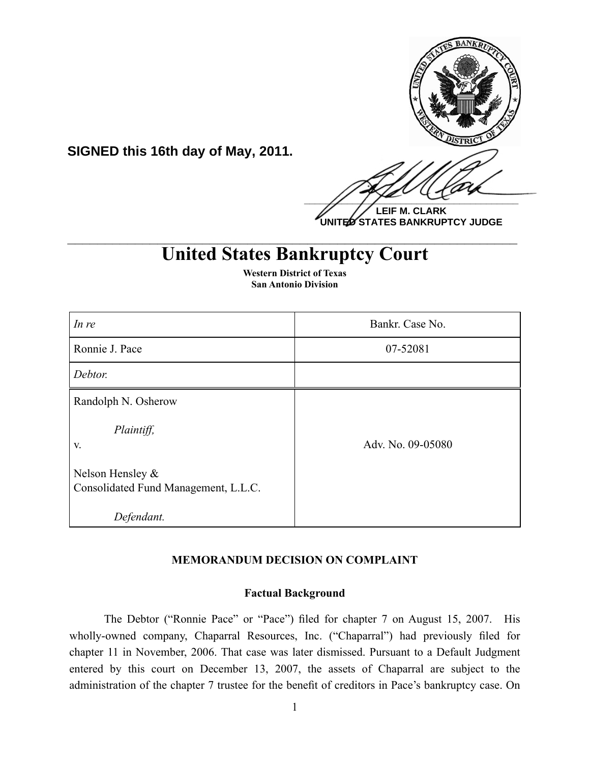

**UNITED STATES BANKRUPTCY JUDGE**

# **United States Bankruptcy Court \_\_\_\_\_\_\_\_\_\_\_\_\_\_\_\_\_\_\_\_\_\_\_\_\_\_\_\_\_\_\_\_\_\_\_\_\_\_\_\_\_\_\_\_\_\_\_\_\_\_\_\_\_\_\_\_\_\_\_\_**

| In re                                                    | Bankr. Case No.   |
|----------------------------------------------------------|-------------------|
| Ronnie J. Pace                                           | 07-52081          |
| Debtor.                                                  |                   |
| Randolph N. Osherow                                      |                   |
| Plaintiff,<br>V.                                         | Adv. No. 09-05080 |
| Nelson Hensley &<br>Consolidated Fund Management, L.L.C. |                   |
| Defendant.                                               |                   |

**Western District of Texas San Antonio Division**

**SIGNED this 16th day of May, 2011.**

## **MEMORANDUM DECISION ON COMPLAINT**

#### **Factual Background**

The Debtor ("Ronnie Pace" or "Pace") filed for chapter 7 on August 15, 2007. His wholly-owned company, Chaparral Resources, Inc. ("Chaparral") had previously filed for chapter 11 in November, 2006. That case was later dismissed. Pursuant to a Default Judgment entered by this court on December 13, 2007, the assets of Chaparral are subject to the administration of the chapter 7 trustee for the benefit of creditors in Pace's bankruptcy case. On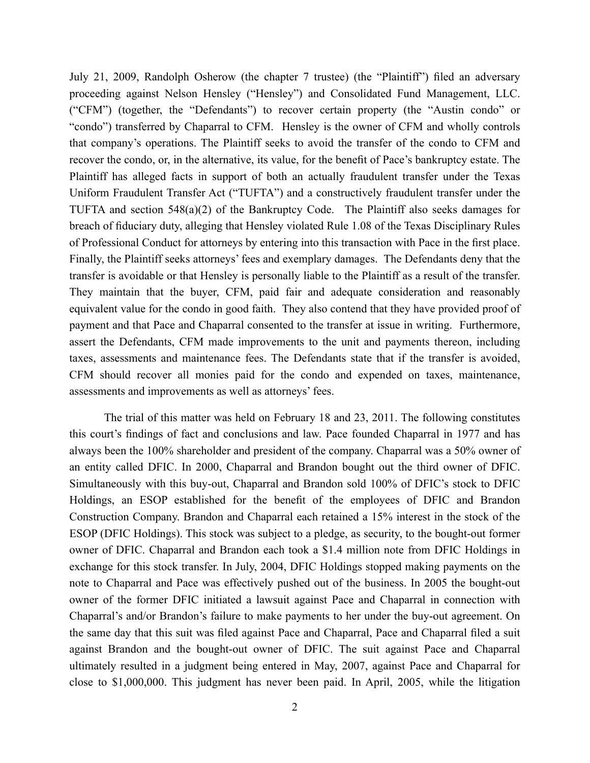July 21, 2009, Randolph Osherow (the chapter 7 trustee) (the "Plaintiff") filed an adversary proceeding against Nelson Hensley ("Hensley") and Consolidated Fund Management, LLC. ("CFM") (together, the "Defendants") to recover certain property (the "Austin condo" or "condo") transferred by Chaparral to CFM. Hensley is the owner of CFM and wholly controls that company's operations. The Plaintiff seeks to avoid the transfer of the condo to CFM and recover the condo, or, in the alternative, its value, for the benefit of Pace's bankruptcy estate. The Plaintiff has alleged facts in support of both an actually fraudulent transfer under the Texas Uniform Fraudulent Transfer Act ("TUFTA") and a constructively fraudulent transfer under the TUFTA and section 548(a)(2) of the Bankruptcy Code. The Plaintiff also seeks damages for breach of fiduciary duty, alleging that Hensley violated Rule 1.08 of the Texas Disciplinary Rules of Professional Conduct for attorneys by entering into this transaction with Pace in the first place. Finally, the Plaintiff seeks attorneys' fees and exemplary damages. The Defendants deny that the transfer is avoidable or that Hensley is personally liable to the Plaintiff as a result of the transfer. They maintain that the buyer, CFM, paid fair and adequate consideration and reasonably equivalent value for the condo in good faith. They also contend that they have provided proof of payment and that Pace and Chaparral consented to the transfer at issue in writing. Furthermore, assert the Defendants, CFM made improvements to the unit and payments thereon, including taxes, assessments and maintenance fees. The Defendants state that if the transfer is avoided, CFM should recover all monies paid for the condo and expended on taxes, maintenance, assessments and improvements as well as attorneys' fees.

The trial of this matter was held on February 18 and 23, 2011. The following constitutes this court's findings of fact and conclusions and law. Pace founded Chaparral in 1977 and has always been the 100% shareholder and president of the company. Chaparral was a 50% owner of an entity called DFIC. In 2000, Chaparral and Brandon bought out the third owner of DFIC. Simultaneously with this buy-out, Chaparral and Brandon sold 100% of DFIC's stock to DFIC Holdings, an ESOP established for the benefit of the employees of DFIC and Brandon Construction Company. Brandon and Chaparral each retained a 15% interest in the stock of the ESOP (DFIC Holdings). This stock was subject to a pledge, as security, to the bought-out former owner of DFIC. Chaparral and Brandon each took a \$1.4 million note from DFIC Holdings in exchange for this stock transfer. In July, 2004, DFIC Holdings stopped making payments on the note to Chaparral and Pace was effectively pushed out of the business. In 2005 the bought-out owner of the former DFIC initiated a lawsuit against Pace and Chaparral in connection with Chaparral's and/or Brandon's failure to make payments to her under the buy-out agreement. On the same day that this suit was filed against Pace and Chaparral, Pace and Chaparral filed a suit against Brandon and the bought-out owner of DFIC. The suit against Pace and Chaparral ultimately resulted in a judgment being entered in May, 2007, against Pace and Chaparral for close to \$1,000,000. This judgment has never been paid. In April, 2005, while the litigation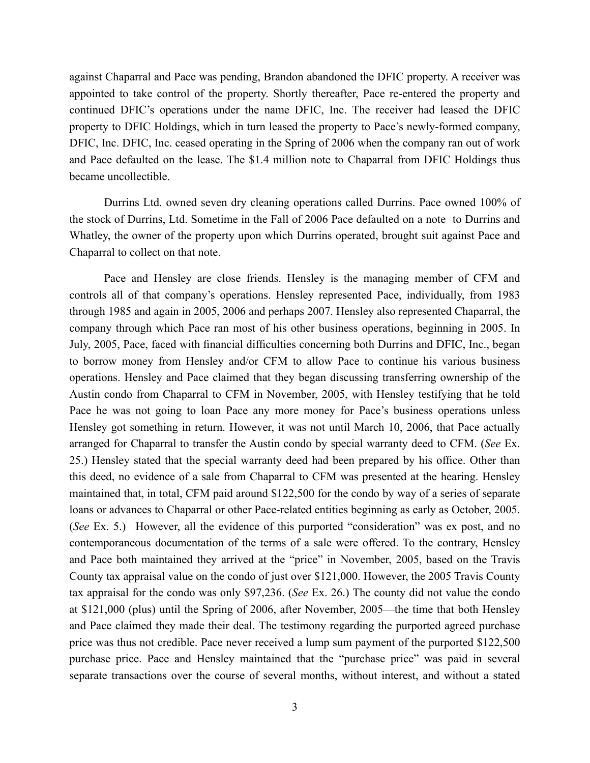against Chaparral and Pace was pending, Brandon abandoned the DFIC property. A receiver was appointed to take control of the property. Shortly thereafter, Pace re-entered the property and continued DFIC's operations under the name DFIC, Inc. The receiver had leased the DFIC property to DFIC Holdings, which in turn leased the property to Pace's newly-formed company, DFIC, Inc. DFIC, Inc. ceased operating in the Spring of 2006 when the company ran out of work and Pace defaulted on the lease. The \$1.4 million note to Chaparral from DFIC Holdings thus became uncollectible.

Durrins Ltd. owned seven dry cleaning operations called Durrins. Pace owned 100% of the stock of Durrins, Ltd. Sometime in the Fall of 2006 Pace defaulted on a note to Durrins and Whatley, the owner of the property upon which Durrins operated, brought suit against Pace and Chaparral to collect on that note.

Pace and Hensley are close friends. Hensley is the managing member of CFM and controls all of that company's operations. Hensley represented Pace, individually, from 1983 through 1985 and again in 2005, 2006 and perhaps 2007. Hensley also represented Chaparral, the company through which Pace ran most of his other business operations, beginning in 2005. In July, 2005, Pace, faced with financial difficulties concerning both Durrins and DFIC, Inc., began to borrow money from Hensley and/or CFM to allow Pace to continue his various business operations. Hensley and Pace claimed that they began discussing transferring ownership of the Austin condo from Chaparral to CFM in November, 2005, with Hensley testifying that he told Pace he was not going to loan Pace any more money for Pace's business operations unless Hensley got something in return. However, it was not until March 10, 2006, that Pace actually arranged for Chaparral to transfer the Austin condo by special warranty deed to CFM. (*See* Ex. 25.) Hensley stated that the special warranty deed had been prepared by his office. Other than this deed, no evidence of a sale from Chaparral to CFM was presented at the hearing. Hensley maintained that, in total, CFM paid around \$122,500 for the condo by way of a series of separate loans or advances to Chaparral or other Pace-related entities beginning as early as October, 2005. (*See* Ex. 5.) However, all the evidence of this purported "consideration" was ex post, and no contemporaneous documentation of the terms of a sale were offered. To the contrary, Hensley and Pace both maintained they arrived at the "price" in November, 2005, based on the Travis County tax appraisal value on the condo of just over \$121,000. However, the 2005 Travis County tax appraisal for the condo was only \$97,236. (*See* Ex. 26.) The county did not value the condo at \$121,000 (plus) until the Spring of 2006, after November, 2005—the time that both Hensley and Pace claimed they made their deal. The testimony regarding the purported agreed purchase price was thus not credible. Pace never received a lump sum payment of the purported \$122,500 purchase price. Pace and Hensley maintained that the "purchase price" was paid in several separate transactions over the course of several months, without interest, and without a stated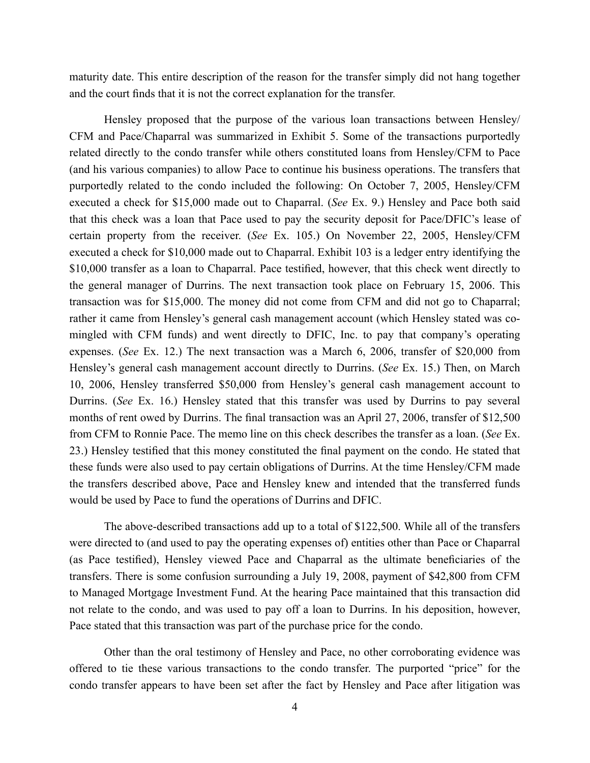maturity date. This entire description of the reason for the transfer simply did not hang together and the court finds that it is not the correct explanation for the transfer.

Hensley proposed that the purpose of the various loan transactions between Hensley/ CFM and Pace/Chaparral was summarized in Exhibit 5. Some of the transactions purportedly related directly to the condo transfer while others constituted loans from Hensley/CFM to Pace (and his various companies) to allow Pace to continue his business operations. The transfers that purportedly related to the condo included the following: On October 7, 2005, Hensley/CFM executed a check for \$15,000 made out to Chaparral. (*See* Ex. 9.) Hensley and Pace both said that this check was a loan that Pace used to pay the security deposit for Pace/DFIC's lease of certain property from the receiver. (*See* Ex. 105.) On November 22, 2005, Hensley/CFM executed a check for \$10,000 made out to Chaparral. Exhibit 103 is a ledger entry identifying the \$10,000 transfer as a loan to Chaparral. Pace testified, however, that this check went directly to the general manager of Durrins. The next transaction took place on February 15, 2006. This transaction was for \$15,000. The money did not come from CFM and did not go to Chaparral; rather it came from Hensley's general cash management account (which Hensley stated was comingled with CFM funds) and went directly to DFIC, Inc. to pay that company's operating expenses. (*See* Ex. 12.) The next transaction was a March 6, 2006, transfer of \$20,000 from Hensley's general cash management account directly to Durrins. (*See* Ex. 15.) Then, on March 10, 2006, Hensley transferred \$50,000 from Hensley's general cash management account to Durrins. (*See* Ex. 16.) Hensley stated that this transfer was used by Durrins to pay several months of rent owed by Durrins. The final transaction was an April 27, 2006, transfer of \$12,500 from CFM to Ronnie Pace. The memo line on this check describes the transfer as a loan. (*See* Ex. 23.) Hensley testified that this money constituted the final payment on the condo. He stated that these funds were also used to pay certain obligations of Durrins. At the time Hensley/CFM made the transfers described above, Pace and Hensley knew and intended that the transferred funds would be used by Pace to fund the operations of Durrins and DFIC.

The above-described transactions add up to a total of \$122,500. While all of the transfers were directed to (and used to pay the operating expenses of) entities other than Pace or Chaparral (as Pace testified), Hensley viewed Pace and Chaparral as the ultimate beneficiaries of the transfers. There is some confusion surrounding a July 19, 2008, payment of \$42,800 from CFM to Managed Mortgage Investment Fund. At the hearing Pace maintained that this transaction did not relate to the condo, and was used to pay off a loan to Durrins. In his deposition, however, Pace stated that this transaction was part of the purchase price for the condo.

Other than the oral testimony of Hensley and Pace, no other corroborating evidence was offered to tie these various transactions to the condo transfer. The purported "price" for the condo transfer appears to have been set after the fact by Hensley and Pace after litigation was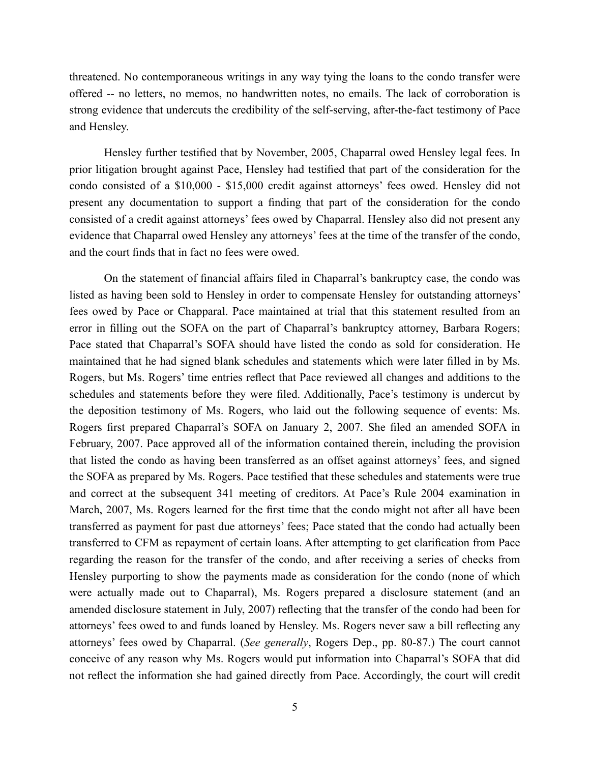threatened. No contemporaneous writings in any way tying the loans to the condo transfer were offered -- no letters, no memos, no handwritten notes, no emails. The lack of corroboration is strong evidence that undercuts the credibility of the self-serving, after-the-fact testimony of Pace and Hensley.

Hensley further testified that by November, 2005, Chaparral owed Hensley legal fees. In prior litigation brought against Pace, Hensley had testified that part of the consideration for the condo consisted of a \$10,000 - \$15,000 credit against attorneys' fees owed. Hensley did not present any documentation to support a finding that part of the consideration for the condo consisted of a credit against attorneys' fees owed by Chaparral. Hensley also did not present any evidence that Chaparral owed Hensley any attorneys' fees at the time of the transfer of the condo, and the court finds that in fact no fees were owed.

On the statement of financial affairs filed in Chaparral's bankruptcy case, the condo was listed as having been sold to Hensley in order to compensate Hensley for outstanding attorneys' fees owed by Pace or Chapparal. Pace maintained at trial that this statement resulted from an error in filling out the SOFA on the part of Chaparral's bankruptcy attorney, Barbara Rogers; Pace stated that Chaparral's SOFA should have listed the condo as sold for consideration. He maintained that he had signed blank schedules and statements which were later filled in by Ms. Rogers, but Ms. Rogers' time entries reflect that Pace reviewed all changes and additions to the schedules and statements before they were filed. Additionally, Pace's testimony is undercut by the deposition testimony of Ms. Rogers, who laid out the following sequence of events: Ms. Rogers first prepared Chaparral's SOFA on January 2, 2007. She filed an amended SOFA in February, 2007. Pace approved all of the information contained therein, including the provision that listed the condo as having been transferred as an offset against attorneys' fees, and signed the SOFA as prepared by Ms. Rogers. Pace testified that these schedules and statements were true and correct at the subsequent 341 meeting of creditors. At Pace's Rule 2004 examination in March, 2007, Ms. Rogers learned for the first time that the condo might not after all have been transferred as payment for past due attorneys' fees; Pace stated that the condo had actually been transferred to CFM as repayment of certain loans. After attempting to get clarification from Pace regarding the reason for the transfer of the condo, and after receiving a series of checks from Hensley purporting to show the payments made as consideration for the condo (none of which were actually made out to Chaparral), Ms. Rogers prepared a disclosure statement (and an amended disclosure statement in July, 2007) reflecting that the transfer of the condo had been for attorneys' fees owed to and funds loaned by Hensley. Ms. Rogers never saw a bill reflecting any attorneys' fees owed by Chaparral. (*See generally*, Rogers Dep., pp. 80-87.) The court cannot conceive of any reason why Ms. Rogers would put information into Chaparral's SOFA that did not reflect the information she had gained directly from Pace. Accordingly, the court will credit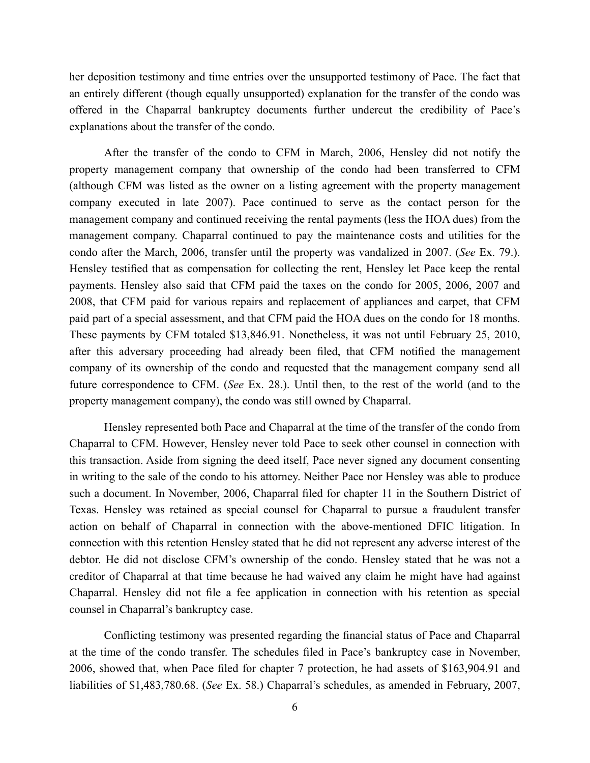her deposition testimony and time entries over the unsupported testimony of Pace. The fact that an entirely different (though equally unsupported) explanation for the transfer of the condo was offered in the Chaparral bankruptcy documents further undercut the credibility of Pace's explanations about the transfer of the condo.

After the transfer of the condo to CFM in March, 2006, Hensley did not notify the property management company that ownership of the condo had been transferred to CFM (although CFM was listed as the owner on a listing agreement with the property management company executed in late 2007). Pace continued to serve as the contact person for the management company and continued receiving the rental payments (less the HOA dues) from the management company. Chaparral continued to pay the maintenance costs and utilities for the condo after the March, 2006, transfer until the property was vandalized in 2007. (*See* Ex. 79.). Hensley testified that as compensation for collecting the rent, Hensley let Pace keep the rental payments. Hensley also said that CFM paid the taxes on the condo for 2005, 2006, 2007 and 2008, that CFM paid for various repairs and replacement of appliances and carpet, that CFM paid part of a special assessment, and that CFM paid the HOA dues on the condo for 18 months. These payments by CFM totaled \$13,846.91. Nonetheless, it was not until February 25, 2010, after this adversary proceeding had already been filed, that CFM notified the management company of its ownership of the condo and requested that the management company send all future correspondence to CFM. (*See* Ex. 28.). Until then, to the rest of the world (and to the property management company), the condo was still owned by Chaparral.

Hensley represented both Pace and Chaparral at the time of the transfer of the condo from Chaparral to CFM. However, Hensley never told Pace to seek other counsel in connection with this transaction. Aside from signing the deed itself, Pace never signed any document consenting in writing to the sale of the condo to his attorney. Neither Pace nor Hensley was able to produce such a document. In November, 2006, Chaparral filed for chapter 11 in the Southern District of Texas. Hensley was retained as special counsel for Chaparral to pursue a fraudulent transfer action on behalf of Chaparral in connection with the above-mentioned DFIC litigation. In connection with this retention Hensley stated that he did not represent any adverse interest of the debtor. He did not disclose CFM's ownership of the condo. Hensley stated that he was not a creditor of Chaparral at that time because he had waived any claim he might have had against Chaparral. Hensley did not file a fee application in connection with his retention as special counsel in Chaparral's bankruptcy case.

Conflicting testimony was presented regarding the financial status of Pace and Chaparral at the time of the condo transfer. The schedules filed in Pace's bankruptcy case in November, 2006, showed that, when Pace filed for chapter 7 protection, he had assets of \$163,904.91 and liabilities of \$1,483,780.68. (*See* Ex. 58.) Chaparral's schedules, as amended in February, 2007,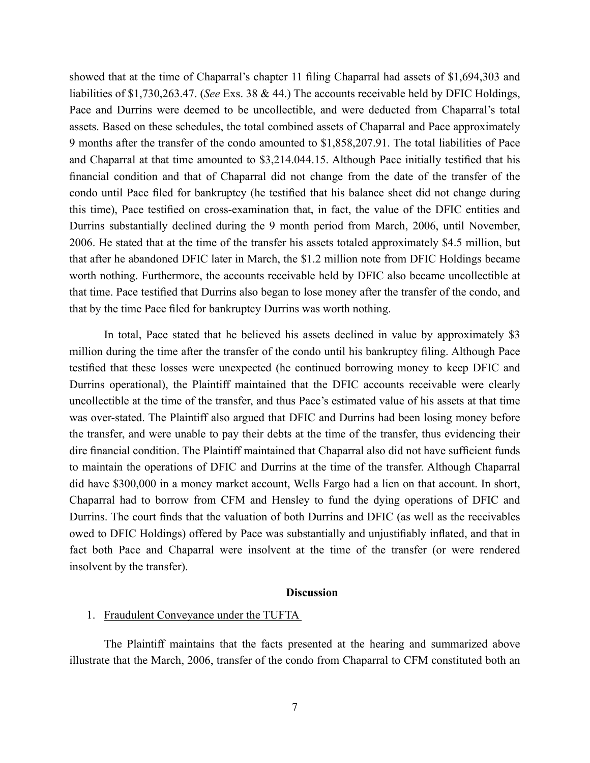showed that at the time of Chaparral's chapter 11 filing Chaparral had assets of \$1,694,303 and liabilities of \$1,730,263.47. (*See* Exs. 38 & 44.) The accounts receivable held by DFIC Holdings, Pace and Durrins were deemed to be uncollectible, and were deducted from Chaparral's total assets. Based on these schedules, the total combined assets of Chaparral and Pace approximately 9 months after the transfer of the condo amounted to \$1,858,207.91. The total liabilities of Pace and Chaparral at that time amounted to \$3,214.044.15. Although Pace initially testified that his financial condition and that of Chaparral did not change from the date of the transfer of the condo until Pace filed for bankruptcy (he testified that his balance sheet did not change during this time), Pace testified on cross-examination that, in fact, the value of the DFIC entities and Durrins substantially declined during the 9 month period from March, 2006, until November, 2006. He stated that at the time of the transfer his assets totaled approximately \$4.5 million, but that after he abandoned DFIC later in March, the \$1.2 million note from DFIC Holdings became worth nothing. Furthermore, the accounts receivable held by DFIC also became uncollectible at that time. Pace testified that Durrins also began to lose money after the transfer of the condo, and that by the time Pace filed for bankruptcy Durrins was worth nothing.

In total, Pace stated that he believed his assets declined in value by approximately \$3 million during the time after the transfer of the condo until his bankruptcy filing. Although Pace testified that these losses were unexpected (he continued borrowing money to keep DFIC and Durrins operational), the Plaintiff maintained that the DFIC accounts receivable were clearly uncollectible at the time of the transfer, and thus Pace's estimated value of his assets at that time was over-stated. The Plaintiff also argued that DFIC and Durrins had been losing money before the transfer, and were unable to pay their debts at the time of the transfer, thus evidencing their dire financial condition. The Plaintiff maintained that Chaparral also did not have sufficient funds to maintain the operations of DFIC and Durrins at the time of the transfer. Although Chaparral did have \$300,000 in a money market account, Wells Fargo had a lien on that account. In short, Chaparral had to borrow from CFM and Hensley to fund the dying operations of DFIC and Durrins. The court finds that the valuation of both Durrins and DFIC (as well as the receivables owed to DFIC Holdings) offered by Pace was substantially and unjustifiably inflated, and that in fact both Pace and Chaparral were insolvent at the time of the transfer (or were rendered insolvent by the transfer).

#### **Discussion**

#### 1. Fraudulent Conveyance under the TUFTA

The Plaintiff maintains that the facts presented at the hearing and summarized above illustrate that the March, 2006, transfer of the condo from Chaparral to CFM constituted both an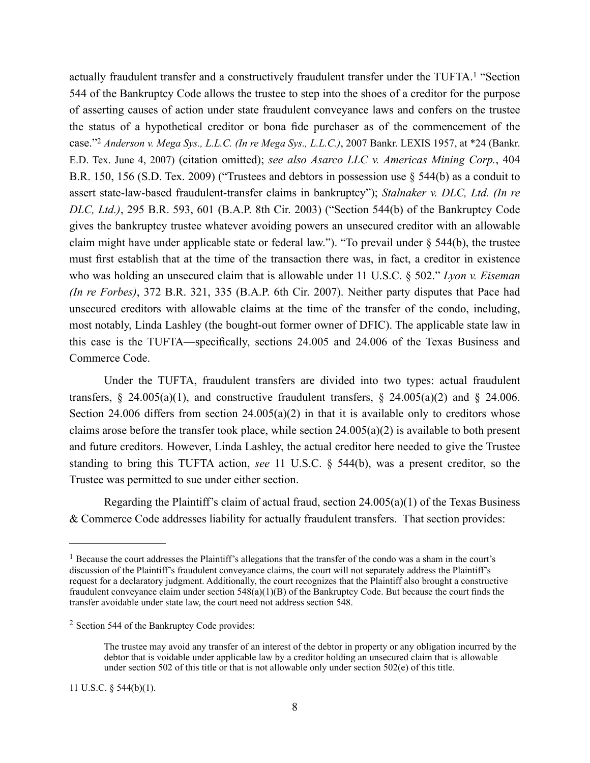actually fraudulent transfer and a constructively fraudulent transfer under the TUFTA.<sup>1</sup> "Section 544 of the Bankruptcy Code allows the trustee to step into the shoes of a creditor for the purpose of asserting causes of action under state fraudulent conveyance laws and confers on the trustee the status of a hypothetical creditor or bona fide purchaser as of the commencement of the case."2 *Anderson v. Mega Sys., L.L.C. (In re Mega Sys., L.L.C.)*, 2007 Bankr. LEXIS 1957, at \*24 (Bankr. E.D. Tex. June 4, 2007) (citation omitted); *see also Asarco LLC v. Americas Mining Corp.*, 404 B.R. 150, 156 (S.D. Tex. 2009) ("Trustees and debtors in possession use § 544(b) as a conduit to assert state-law-based fraudulent-transfer claims in bankruptcy"); *Stalnaker v. DLC, Ltd. (In re DLC, Ltd.)*, 295 B.R. 593, 601 (B.A.P. 8th Cir. 2003) ("Section 544(b) of the Bankruptcy Code gives the bankruptcy trustee whatever avoiding powers an unsecured creditor with an allowable claim might have under applicable state or federal law."). "To prevail under § 544(b), the trustee must first establish that at the time of the transaction there was, in fact, a creditor in existence who was holding an unsecured claim that is allowable under 11 U.S.C. § 502." *Lyon v. Eiseman (In re Forbes)*, 372 B.R. 321, 335 (B.A.P. 6th Cir. 2007). Neither party disputes that Pace had unsecured creditors with allowable claims at the time of the transfer of the condo, including, most notably, Linda Lashley (the bought-out former owner of DFIC). The applicable state law in this case is the TUFTA—specifically, sections 24.005 and 24.006 of the Texas Business and Commerce Code.

Under the TUFTA, fraudulent transfers are divided into two types: actual fraudulent transfers, § 24.005(a)(1), and constructive fraudulent transfers, § 24.005(a)(2) and § 24.006. Section 24.006 differs from section  $24.005(a)(2)$  in that it is available only to creditors whose claims arose before the transfer took place, while section  $24.005(a)(2)$  is available to both present and future creditors. However, Linda Lashley, the actual creditor here needed to give the Trustee standing to bring this TUFTA action, *see* 11 U.S.C. § 544(b), was a present creditor, so the Trustee was permitted to sue under either section.

Regarding the Plaintiff's claim of actual fraud, section  $24.005(a)(1)$  of the Texas Business & Commerce Code addresses liability for actually fraudulent transfers. That section provides:

<sup>&</sup>lt;sup>1</sup> Because the court addresses the Plaintiff's allegations that the transfer of the condo was a sham in the court's discussion of the Plaintiff's fraudulent conveyance claims, the court will not separately address the Plaintiff's request for a declaratory judgment. Additionally, the court recognizes that the Plaintiff also brought a constructive fraudulent conveyance claim under section 548(a)(1)(B) of the Bankruptcy Code. But because the court finds the transfer avoidable under state law, the court need not address section 548.

<sup>2</sup> Section 544 of the Bankruptcy Code provides:

The trustee may avoid any transfer of an interest of the debtor in property or any obligation incurred by the debtor that is voidable under applicable law by a creditor holding an unsecured claim that is allowable under section 502 of this title or that is not allowable only under section 502(e) of this title.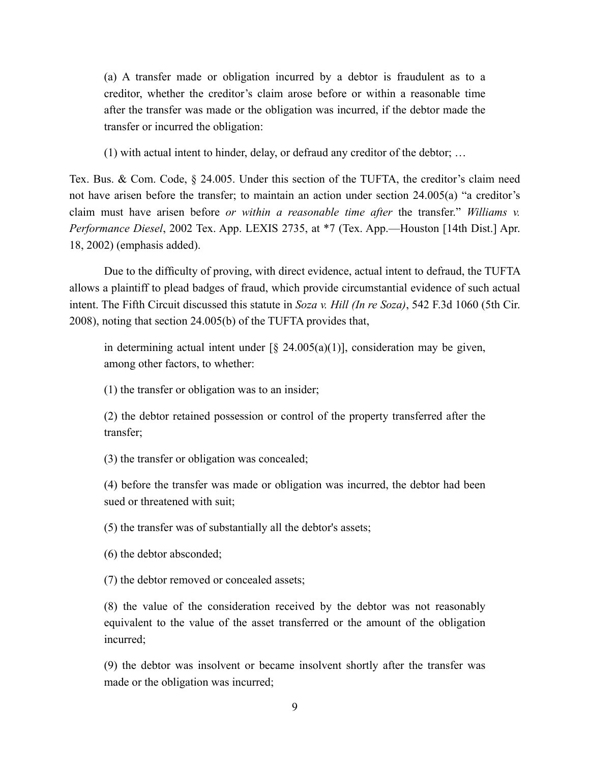(a) A transfer made or obligation incurred by a debtor is fraudulent as to a creditor, whether the creditor's claim arose before or within a reasonable time after the transfer was made or the obligation was incurred, if the debtor made the transfer or incurred the obligation:

(1) with actual intent to hinder, delay, or defraud any creditor of the debtor; …

Tex. Bus. & Com. Code, § 24.005. Under this section of the TUFTA, the creditor's claim need not have arisen before the transfer; to maintain an action under section 24.005(a) "a creditor's claim must have arisen before *or within a reasonable time after* the transfer." *Williams v. Performance Diesel*, 2002 Tex. App. LEXIS 2735, at \*7 (Tex. App.—Houston [14th Dist.] Apr. 18, 2002) (emphasis added).

Due to the difficulty of proving, with direct evidence, actual intent to defraud, the TUFTA allows a plaintiff to plead badges of fraud, which provide circumstantial evidence of such actual intent. The Fifth Circuit discussed this statute in *Soza v. Hill (In re Soza)*, 542 F.3d 1060 (5th Cir. 2008), noting that section 24.005(b) of the TUFTA provides that,

in determining actual intent under  $\lbrack \S$  24.005(a)(1)], consideration may be given, among other factors, to whether:

(1) the transfer or obligation was to an insider;

(2) the debtor retained possession or control of the property transferred after the transfer;

(3) the transfer or obligation was concealed;

(4) before the transfer was made or obligation was incurred, the debtor had been sued or threatened with suit;

(5) the transfer was of substantially all the debtor's assets;

(6) the debtor absconded;

(7) the debtor removed or concealed assets;

(8) the value of the consideration received by the debtor was not reasonably equivalent to the value of the asset transferred or the amount of the obligation incurred;

(9) the debtor was insolvent or became insolvent shortly after the transfer was made or the obligation was incurred;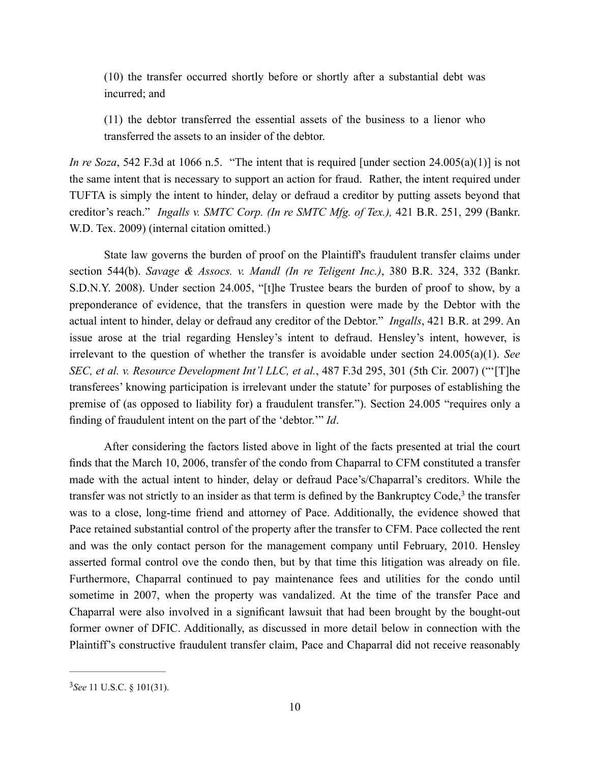(10) the transfer occurred shortly before or shortly after a substantial debt was incurred; and

(11) the debtor transferred the essential assets of the business to a lienor who transferred the assets to an insider of the debtor.

*In re Soza*, 542 F.3d at 1066 n.5. "The intent that is required [under section 24.005(a)(1)] is not the same intent that is necessary to support an action for fraud. Rather, the intent required under TUFTA is simply the intent to hinder, delay or defraud a creditor by putting assets beyond that creditor's reach." *Ingalls v. SMTC Corp. (In re SMTC Mfg. of Tex.),* 421 B.R. 251, 299 (Bankr. W.D. Tex. 2009) (internal citation omitted.)

State law governs the burden of proof on the Plaintiff's fraudulent transfer claims under section 544(b). *Savage & Assocs. v. Mandl (In re Teligent Inc.)*, 380 B.R. 324, 332 (Bankr. S.D.N.Y. 2008). Under section 24.005, "[t]he Trustee bears the burden of proof to show, by a preponderance of evidence, that the transfers in question were made by the Debtor with the actual intent to hinder, delay or defraud any creditor of the Debtor." *Ingalls*, 421 B.R. at 299. An issue arose at the trial regarding Hensley's intent to defraud. Hensley's intent, however, is irrelevant to the question of whether the transfer is avoidable under section 24.005(a)(1). *See SEC, et al. v. Resource Development Int'l LLC, et al.*, 487 F.3d 295, 301 (5th Cir. 2007) ("'[T]he transferees' knowing participation is irrelevant under the statute' for purposes of establishing the premise of (as opposed to liability for) a fraudulent transfer."). Section 24.005 "requires only a finding of fraudulent intent on the part of the 'debtor.'" *Id*.

After considering the factors listed above in light of the facts presented at trial the court finds that the March 10, 2006, transfer of the condo from Chaparral to CFM constituted a transfer made with the actual intent to hinder, delay or defraud Pace's/Chaparral's creditors. While the transfer was not strictly to an insider as that term is defined by the Bankruptcy Code, <sup>3</sup> the transfer was to a close, long-time friend and attorney of Pace. Additionally, the evidence showed that Pace retained substantial control of the property after the transfer to CFM. Pace collected the rent and was the only contact person for the management company until February, 2010. Hensley asserted formal control ove the condo then, but by that time this litigation was already on file. Furthermore, Chaparral continued to pay maintenance fees and utilities for the condo until sometime in 2007, when the property was vandalized. At the time of the transfer Pace and Chaparral were also involved in a significant lawsuit that had been brought by the bought-out former owner of DFIC. Additionally, as discussed in more detail below in connection with the Plaintiff's constructive fraudulent transfer claim, Pace and Chaparral did not receive reasonably

<sup>3</sup>*See* 11 U.S.C. § 101(31).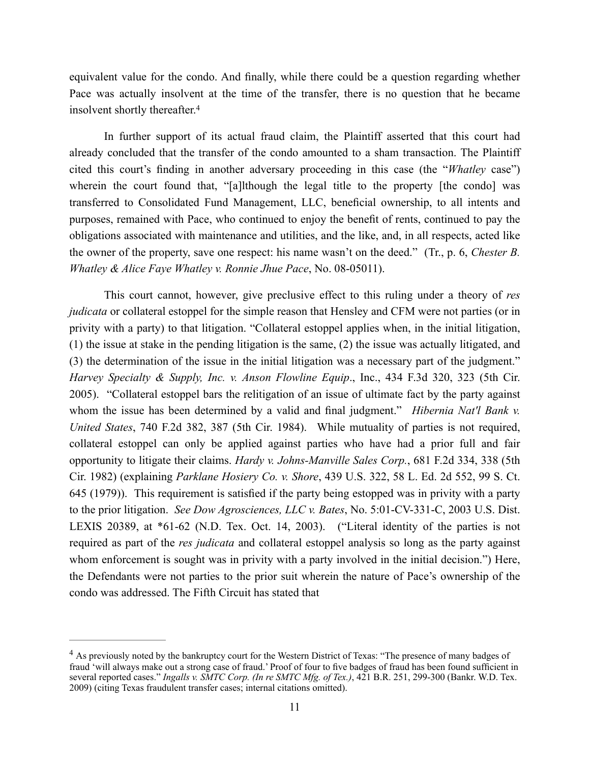equivalent value for the condo. And finally, while there could be a question regarding whether Pace was actually insolvent at the time of the transfer, there is no question that he became insolvent shortly thereafter. 4

In further support of its actual fraud claim, the Plaintiff asserted that this court had already concluded that the transfer of the condo amounted to a sham transaction. The Plaintiff cited this court's finding in another adversary proceeding in this case (the "*Whatley* case") wherein the court found that, "[a]lthough the legal title to the property [the condo] was transferred to Consolidated Fund Management, LLC, beneficial ownership, to all intents and purposes, remained with Pace, who continued to enjoy the benefit of rents, continued to pay the obligations associated with maintenance and utilities, and the like, and, in all respects, acted like the owner of the property, save one respect: his name wasn't on the deed." (Tr., p. 6, *Chester B. Whatley & Alice Faye Whatley v. Ronnie Jhue Pace*, No. 08-05011).

This court cannot, however, give preclusive effect to this ruling under a theory of *res judicata* or collateral estoppel for the simple reason that Hensley and CFM were not parties (or in privity with a party) to that litigation. "Collateral estoppel applies when, in the initial litigation, (1) the issue at stake in the pending litigation is the same, (2) the issue was actually litigated, and (3) the determination of the issue in the initial litigation was a necessary part of the judgment." *Harvey Specialty & Supply, Inc. v. Anson Flowline Equip*., Inc., 434 F.3d 320, 323 (5th Cir. 2005). "Collateral estoppel bars the relitigation of an issue of ultimate fact by the party against whom the issue has been determined by a valid and final judgment." *Hibernia Nat'l Bank v. United States*, 740 F.2d 382, 387 (5th Cir. 1984). While mutuality of parties is not required, collateral estoppel can only be applied against parties who have had a prior full and fair opportunity to litigate their claims. *Hardy v. Johns-Manville Sales Corp.*, 681 F.2d 334, 338 (5th Cir. 1982) (explaining *Parklane Hosiery Co. v. Shore*, 439 U.S. 322, 58 L. Ed. 2d 552, 99 S. Ct. 645 (1979)). This requirement is satisfied if the party being estopped was in privity with a party to the prior litigation. *See Dow Agrosciences, LLC v. Bates*, No. 5:01-CV-331-C, 2003 U.S. Dist. LEXIS 20389, at \*61-62 (N.D. Tex. Oct. 14, 2003). ("Literal identity of the parties is not required as part of the *res judicata* and collateral estoppel analysis so long as the party against whom enforcement is sought was in privity with a party involved in the initial decision.") Here, the Defendants were not parties to the prior suit wherein the nature of Pace's ownership of the condo was addressed. The Fifth Circuit has stated that

<sup>&</sup>lt;sup>4</sup> As previously noted by the bankruptcy court for the Western District of Texas: "The presence of many badges of fraud 'will always make out a strong case of fraud.' Proof of four to five badges of fraud has been found sufficient in several reported cases." *Ingalls v. SMTC Corp. (In re SMTC Mfg. of Tex.)*, 421 B.R. 251, 299-300 (Bankr. W.D. Tex. 2009) (citing Texas fraudulent transfer cases; internal citations omitted).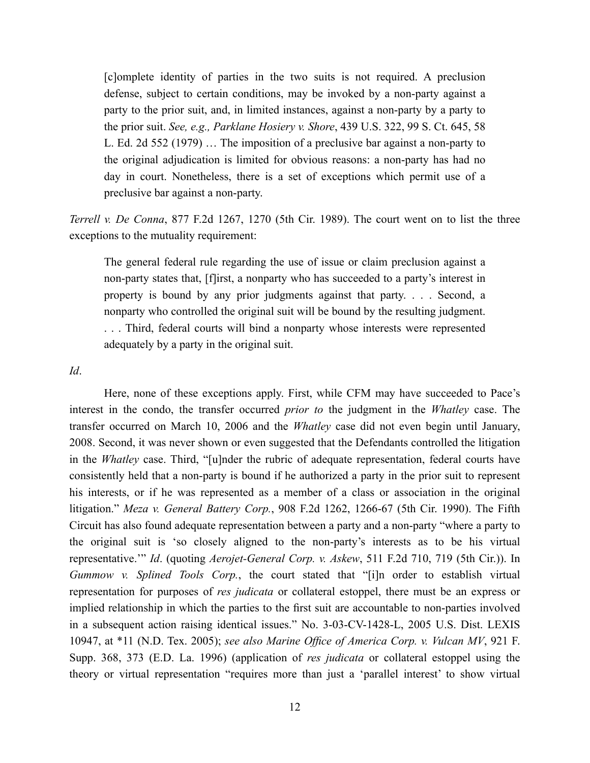[c]omplete identity of parties in the two suits is not required. A preclusion defense, subject to certain conditions, may be invoked by a non-party against a party to the prior suit, and, in limited instances, against a non-party by a party to the prior suit. *See, e.g., Parklane Hosiery v. Shore*, 439 U.S. 322, 99 S. Ct. 645, 58 L. Ed. 2d 552 (1979) … The imposition of a preclusive bar against a non-party to the original adjudication is limited for obvious reasons: a non-party has had no day in court. Nonetheless, there is a set of exceptions which permit use of a preclusive bar against a non-party.

*Terrell v. De Conna*, 877 F.2d 1267, 1270 (5th Cir. 1989). The court went on to list the three exceptions to the mutuality requirement:

The general federal rule regarding the use of issue or claim preclusion against a non-party states that, [f]irst, a nonparty who has succeeded to a party's interest in property is bound by any prior judgments against that party. . . . Second, a nonparty who controlled the original suit will be bound by the resulting judgment. . . . Third, federal courts will bind a nonparty whose interests were represented adequately by a party in the original suit.

*Id*.

Here, none of these exceptions apply. First, while CFM may have succeeded to Pace's interest in the condo, the transfer occurred *prior to* the judgment in the *Whatley* case. The transfer occurred on March 10, 2006 and the *Whatley* case did not even begin until January, 2008. Second, it was never shown or even suggested that the Defendants controlled the litigation in the *Whatley* case. Third, "[u]nder the rubric of adequate representation, federal courts have consistently held that a non-party is bound if he authorized a party in the prior suit to represent his interests, or if he was represented as a member of a class or association in the original litigation." *Meza v. General Battery Corp.*, 908 F.2d 1262, 1266-67 (5th Cir. 1990). The Fifth Circuit has also found adequate representation between a party and a non-party "where a party to the original suit is 'so closely aligned to the non-party's interests as to be his virtual representative.'" *Id*. (quoting *Aerojet-General Corp. v. Askew*, 511 F.2d 710, 719 (5th Cir.)). In *Gummow v. Splined Tools Corp.*, the court stated that "[i]n order to establish virtual representation for purposes of *res judicata* or collateral estoppel, there must be an express or implied relationship in which the parties to the first suit are accountable to non-parties involved in a subsequent action raising identical issues." No. 3-03-CV-1428-L, 2005 U.S. Dist. LEXIS 10947, at \*11 (N.D. Tex. 2005); *see also Marine Office of America Corp. v. Vulcan MV*, 921 F. Supp. 368, 373 (E.D. La. 1996) (application of *res judicata* or collateral estoppel using the theory or virtual representation "requires more than just a 'parallel interest' to show virtual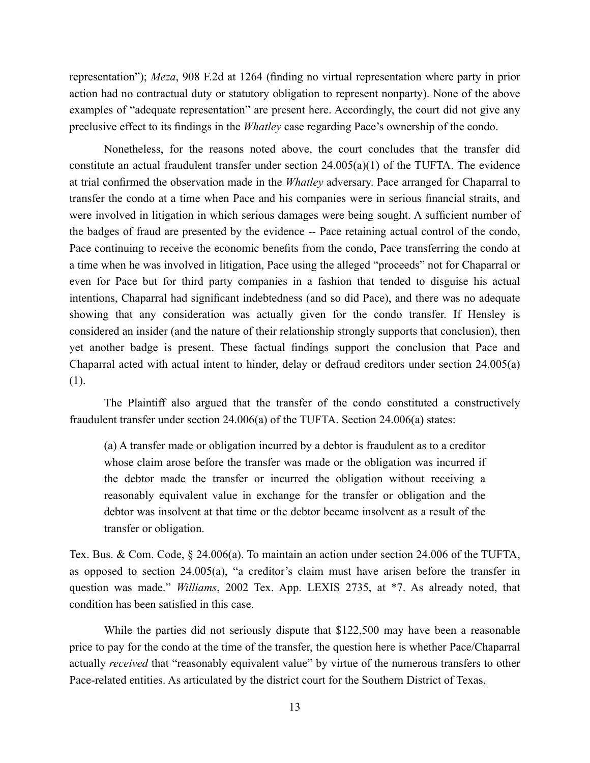representation"); *Meza*, 908 F.2d at 1264 (finding no virtual representation where party in prior action had no contractual duty or statutory obligation to represent nonparty). None of the above examples of "adequate representation" are present here. Accordingly, the court did not give any preclusive effect to its findings in the *Whatley* case regarding Pace's ownership of the condo.

Nonetheless, for the reasons noted above, the court concludes that the transfer did constitute an actual fraudulent transfer under section  $24.005(a)(1)$  of the TUFTA. The evidence at trial confirmed the observation made in the *Whatley* adversary. Pace arranged for Chaparral to transfer the condo at a time when Pace and his companies were in serious financial straits, and were involved in litigation in which serious damages were being sought. A sufficient number of the badges of fraud are presented by the evidence -- Pace retaining actual control of the condo, Pace continuing to receive the economic benefits from the condo, Pace transferring the condo at a time when he was involved in litigation, Pace using the alleged "proceeds" not for Chaparral or even for Pace but for third party companies in a fashion that tended to disguise his actual intentions, Chaparral had significant indebtedness (and so did Pace), and there was no adequate showing that any consideration was actually given for the condo transfer. If Hensley is considered an insider (and the nature of their relationship strongly supports that conclusion), then yet another badge is present. These factual findings support the conclusion that Pace and Chaparral acted with actual intent to hinder, delay or defraud creditors under section 24.005(a) (1).

The Plaintiff also argued that the transfer of the condo constituted a constructively fraudulent transfer under section 24.006(a) of the TUFTA. Section 24.006(a) states:

(a) A transfer made or obligation incurred by a debtor is fraudulent as to a creditor whose claim arose before the transfer was made or the obligation was incurred if the debtor made the transfer or incurred the obligation without receiving a reasonably equivalent value in exchange for the transfer or obligation and the debtor was insolvent at that time or the debtor became insolvent as a result of the transfer or obligation.

Tex. Bus. & Com. Code, § 24.006(a). To maintain an action under section 24.006 of the TUFTA, as opposed to section 24.005(a), "a creditor's claim must have arisen before the transfer in question was made." *Williams*, 2002 Tex. App. LEXIS 2735, at \*7. As already noted, that condition has been satisfied in this case.

While the parties did not seriously dispute that \$122,500 may have been a reasonable price to pay for the condo at the time of the transfer, the question here is whether Pace/Chaparral actually *received* that "reasonably equivalent value" by virtue of the numerous transfers to other Pace-related entities. As articulated by the district court for the Southern District of Texas,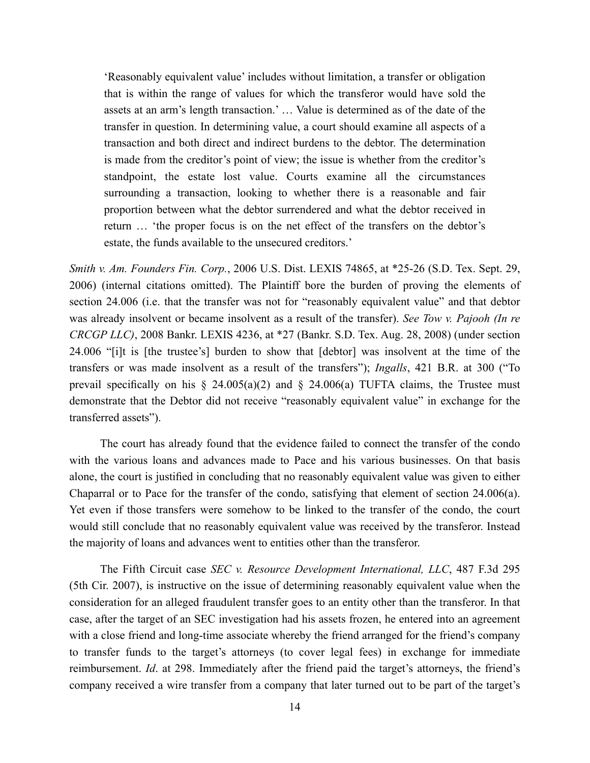'Reasonably equivalent value' includes without limitation, a transfer or obligation that is within the range of values for which the transferor would have sold the assets at an arm's length transaction.' … Value is determined as of the date of the transfer in question. In determining value, a court should examine all aspects of a transaction and both direct and indirect burdens to the debtor. The determination is made from the creditor's point of view; the issue is whether from the creditor's standpoint, the estate lost value. Courts examine all the circumstances surrounding a transaction, looking to whether there is a reasonable and fair proportion between what the debtor surrendered and what the debtor received in return … 'the proper focus is on the net effect of the transfers on the debtor's estate, the funds available to the unsecured creditors.'

*Smith v. Am. Founders Fin. Corp.*, 2006 U.S. Dist. LEXIS 74865, at \*25-26 (S.D. Tex. Sept. 29, 2006) (internal citations omitted). The Plaintiff bore the burden of proving the elements of section 24.006 (i.e. that the transfer was not for "reasonably equivalent value" and that debtor was already insolvent or became insolvent as a result of the transfer). *See Tow v. Pajooh (In re CRCGP LLC)*, 2008 Bankr. LEXIS 4236, at \*27 (Bankr. S.D. Tex. Aug. 28, 2008) (under section 24.006 "[i]t is [the trustee's] burden to show that [debtor] was insolvent at the time of the transfers or was made insolvent as a result of the transfers"); *Ingalls*, 421 B.R. at 300 ("To prevail specifically on his  $\S$  24.005(a)(2) and  $\S$  24.006(a) TUFTA claims, the Trustee must demonstrate that the Debtor did not receive "reasonably equivalent value" in exchange for the transferred assets").

The court has already found that the evidence failed to connect the transfer of the condo with the various loans and advances made to Pace and his various businesses. On that basis alone, the court is justified in concluding that no reasonably equivalent value was given to either Chaparral or to Pace for the transfer of the condo, satisfying that element of section 24.006(a). Yet even if those transfers were somehow to be linked to the transfer of the condo, the court would still conclude that no reasonably equivalent value was received by the transferor. Instead the majority of loans and advances went to entities other than the transferor.

The Fifth Circuit case *SEC v. Resource Development International, LLC*, 487 F.3d 295 (5th Cir. 2007), is instructive on the issue of determining reasonably equivalent value when the consideration for an alleged fraudulent transfer goes to an entity other than the transferor. In that case, after the target of an SEC investigation had his assets frozen, he entered into an agreement with a close friend and long-time associate whereby the friend arranged for the friend's company to transfer funds to the target's attorneys (to cover legal fees) in exchange for immediate reimbursement. *Id*. at 298. Immediately after the friend paid the target's attorneys, the friend's company received a wire transfer from a company that later turned out to be part of the target's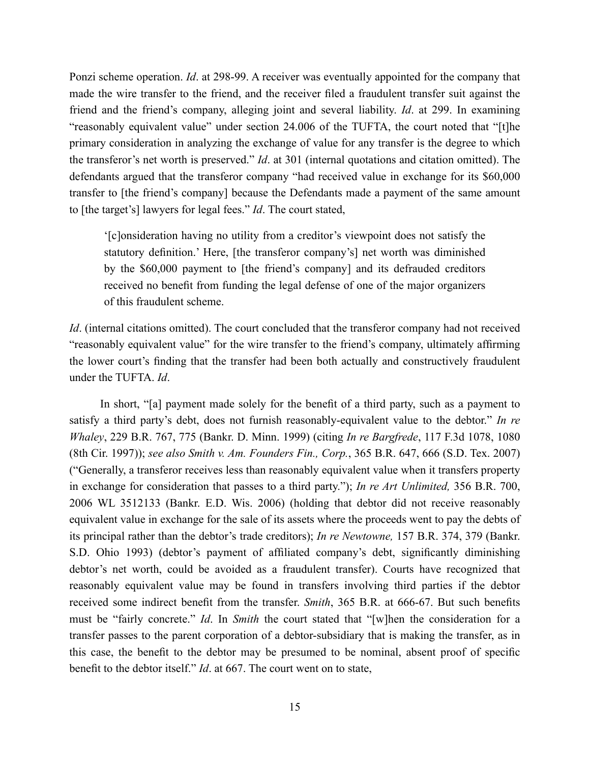Ponzi scheme operation. *Id*. at 298-99. A receiver was eventually appointed for the company that made the wire transfer to the friend, and the receiver filed a fraudulent transfer suit against the friend and the friend's company, alleging joint and several liability. *Id*. at 299. In examining "reasonably equivalent value" under section 24.006 of the TUFTA, the court noted that "[t]he primary consideration in analyzing the exchange of value for any transfer is the degree to which the transferor's net worth is preserved." *Id*. at 301 (internal quotations and citation omitted). The defendants argued that the transferor company "had received value in exchange for its \$60,000 transfer to [the friend's company] because the Defendants made a payment of the same amount to [the target's] lawyers for legal fees." *Id*. The court stated,

'[c]onsideration having no utility from a creditor's viewpoint does not satisfy the statutory definition.' Here, [the transferor company's] net worth was diminished by the \$60,000 payment to [the friend's company] and its defrauded creditors received no benefit from funding the legal defense of one of the major organizers of this fraudulent scheme.

*Id.* (internal citations omitted). The court concluded that the transferor company had not received "reasonably equivalent value" for the wire transfer to the friend's company, ultimately affirming the lower court's finding that the transfer had been both actually and constructively fraudulent under the TUFTA. *Id*.

In short, "[a] payment made solely for the benefit of a third party, such as a payment to satisfy a third party's debt, does not furnish reasonably-equivalent value to the debtor." *In re Whaley*, 229 B.R. 767, 775 (Bankr. D. Minn. 1999) (citing *In re Bargfrede*, 117 F.3d 1078, 1080 (8th Cir. 1997)); *see also Smith v. Am. Founders Fin., Corp.*, 365 B.R. 647, 666 (S.D. Tex. 2007) ("Generally, a transferor receives less than reasonably equivalent value when it transfers property in exchange for consideration that passes to a third party."); *In re Art Unlimited,* 356 B.R. 700, 2006 WL 3512133 (Bankr. E.D. Wis. 2006) (holding that debtor did not receive reasonably equivalent value in exchange for the sale of its assets where the proceeds went to pay the debts of its principal rather than the debtor's trade creditors); *In re Newtowne,* 157 B.R. 374, 379 (Bankr. S.D. Ohio 1993) (debtor's payment of affiliated company's debt, significantly diminishing debtor's net worth, could be avoided as a fraudulent transfer). Courts have recognized that reasonably equivalent value may be found in transfers involving third parties if the debtor received some indirect benefit from the transfer. *Smith*, 365 B.R. at 666-67. But such benefits must be "fairly concrete." *Id*. In *Smith* the court stated that "[w]hen the consideration for a transfer passes to the parent corporation of a debtor-subsidiary that is making the transfer, as in this case, the benefit to the debtor may be presumed to be nominal, absent proof of specific benefit to the debtor itself." *Id*. at 667. The court went on to state,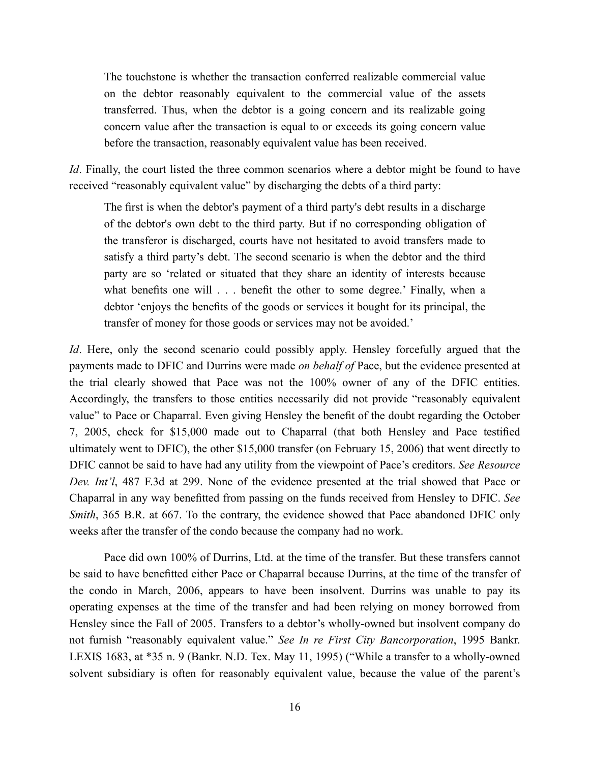The touchstone is whether the transaction conferred realizable commercial value on the debtor reasonably equivalent to the commercial value of the assets transferred. Thus, when the debtor is a going concern and its realizable going concern value after the transaction is equal to or exceeds its going concern value before the transaction, reasonably equivalent value has been received.

*Id*. Finally, the court listed the three common scenarios where a debtor might be found to have received "reasonably equivalent value" by discharging the debts of a third party:

The first is when the debtor's payment of a third party's debt results in a discharge of the debtor's own debt to the third party. But if no corresponding obligation of the transferor is discharged, courts have not hesitated to avoid transfers made to satisfy a third party's debt. The second scenario is when the debtor and the third party are so 'related or situated that they share an identity of interests because what benefits one will . . . benefit the other to some degree.' Finally, when a debtor 'enjoys the benefits of the goods or services it bought for its principal, the transfer of money for those goods or services may not be avoided.'

*Id*. Here, only the second scenario could possibly apply. Hensley forcefully argued that the payments made to DFIC and Durrins were made *on behalf of* Pace, but the evidence presented at the trial clearly showed that Pace was not the 100% owner of any of the DFIC entities. Accordingly, the transfers to those entities necessarily did not provide "reasonably equivalent value" to Pace or Chaparral. Even giving Hensley the benefit of the doubt regarding the October 7, 2005, check for \$15,000 made out to Chaparral (that both Hensley and Pace testified ultimately went to DFIC), the other \$15,000 transfer (on February 15, 2006) that went directly to DFIC cannot be said to have had any utility from the viewpoint of Pace's creditors. *See Resource Dev. Int'l*, 487 F.3d at 299. None of the evidence presented at the trial showed that Pace or Chaparral in any way benefitted from passing on the funds received from Hensley to DFIC. *See Smith*, 365 B.R. at 667. To the contrary, the evidence showed that Pace abandoned DFIC only weeks after the transfer of the condo because the company had no work.

Pace did own 100% of Durrins, Ltd. at the time of the transfer. But these transfers cannot be said to have benefitted either Pace or Chaparral because Durrins, at the time of the transfer of the condo in March, 2006, appears to have been insolvent. Durrins was unable to pay its operating expenses at the time of the transfer and had been relying on money borrowed from Hensley since the Fall of 2005. Transfers to a debtor's wholly-owned but insolvent company do not furnish "reasonably equivalent value." *See In re First City Bancorporation*, 1995 Bankr. LEXIS 1683, at \*35 n. 9 (Bankr. N.D. Tex. May 11, 1995) ("While a transfer to a wholly-owned solvent subsidiary is often for reasonably equivalent value, because the value of the parent's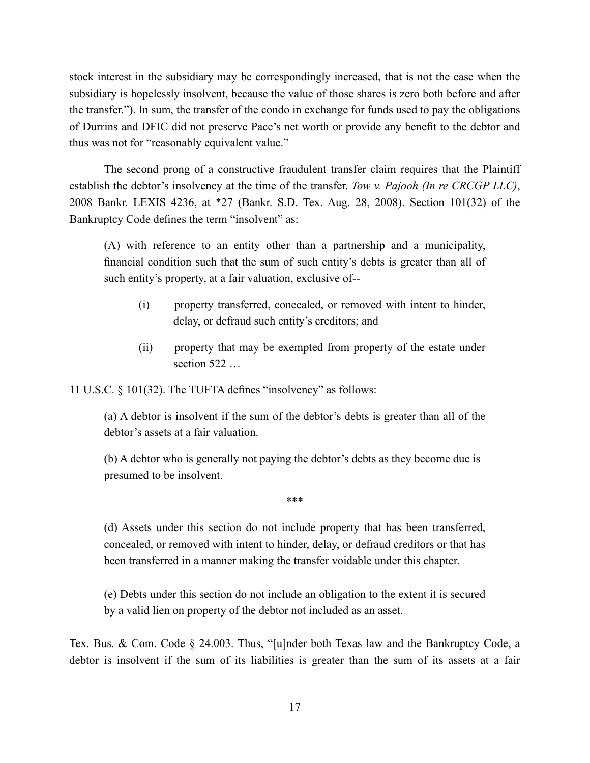stock interest in the subsidiary may be correspondingly increased, that is not the case when the subsidiary is hopelessly insolvent, because the value of those shares is zero both before and after the transfer."). In sum, the transfer of the condo in exchange for funds used to pay the obligations of Durrins and DFIC did not preserve Pace's net worth or provide any benefit to the debtor and thus was not for "reasonably equivalent value."

The second prong of a constructive fraudulent transfer claim requires that the Plaintiff establish the debtor's insolvency at the time of the transfer. *Tow v. Pajooh (In re CRCGP LLC)*, 2008 Bankr. LEXIS 4236, at \*27 (Bankr. S.D. Tex. Aug. 28, 2008). Section 101(32) of the Bankruptcy Code defines the term "insolvent" as:

(A) with reference to an entity other than a partnership and a municipality, financial condition such that the sum of such entity's debts is greater than all of such entity's property, at a fair valuation, exclusive of--

- (i) property transferred, concealed, or removed with intent to hinder, delay, or defraud such entity's creditors; and
- (ii) property that may be exempted from property of the estate under section 522 …

11 U.S.C. § 101(32). The TUFTA defines "insolvency" as follows:

(a) A debtor is insolvent if the sum of the debtor's debts is greater than all of the debtor's assets at a fair valuation.

(b) A debtor who is generally not paying the debtor's debts as they become due is presumed to be insolvent.

\*\*\*

(d) Assets under this section do not include property that has been transferred, concealed, or removed with intent to hinder, delay, or defraud creditors or that has been transferred in a manner making the transfer voidable under this chapter.

(e) Debts under this section do not include an obligation to the extent it is secured by a valid lien on property of the debtor not included as an asset.

Tex. Bus. & Com. Code § 24.003. Thus, "[u]nder both Texas law and the Bankruptcy Code, a debtor is insolvent if the sum of its liabilities is greater than the sum of its assets at a fair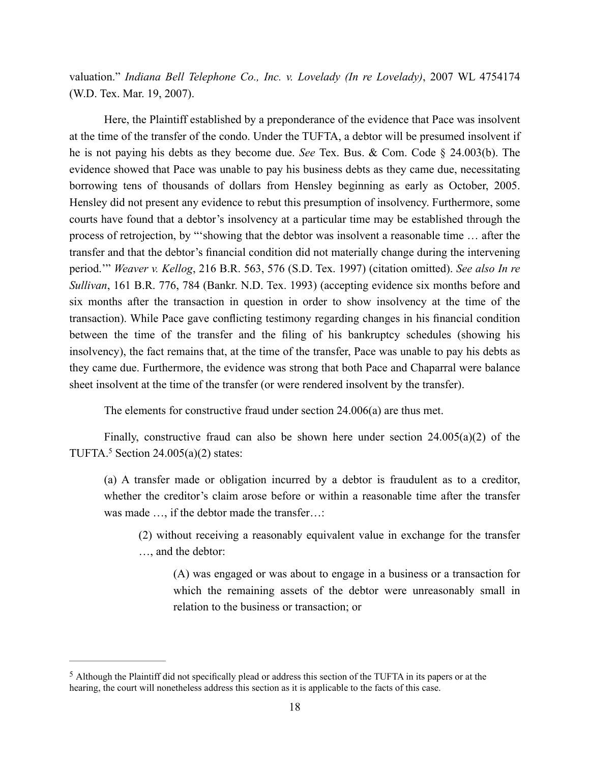valuation." *Indiana Bell Telephone Co., Inc. v. Lovelady (In re Lovelady)*, 2007 WL 4754174 (W.D. Tex. Mar. 19, 2007).

Here, the Plaintiff established by a preponderance of the evidence that Pace was insolvent at the time of the transfer of the condo. Under the TUFTA, a debtor will be presumed insolvent if he is not paying his debts as they become due. *See* Tex. Bus. & Com. Code § 24.003(b). The evidence showed that Pace was unable to pay his business debts as they came due, necessitating borrowing tens of thousands of dollars from Hensley beginning as early as October, 2005. Hensley did not present any evidence to rebut this presumption of insolvency. Furthermore, some courts have found that a debtor's insolvency at a particular time may be established through the process of retrojection, by "'showing that the debtor was insolvent a reasonable time … after the transfer and that the debtor's financial condition did not materially change during the intervening period.'" *Weaver v. Kellog*, 216 B.R. 563, 576 (S.D. Tex. 1997) (citation omitted). *See also In re Sullivan*, 161 B.R. 776, 784 (Bankr. N.D. Tex. 1993) (accepting evidence six months before and six months after the transaction in question in order to show insolvency at the time of the transaction). While Pace gave conflicting testimony regarding changes in his financial condition between the time of the transfer and the filing of his bankruptcy schedules (showing his insolvency), the fact remains that, at the time of the transfer, Pace was unable to pay his debts as they came due. Furthermore, the evidence was strong that both Pace and Chaparral were balance sheet insolvent at the time of the transfer (or were rendered insolvent by the transfer).

The elements for constructive fraud under section 24.006(a) are thus met.

Finally, constructive fraud can also be shown here under section  $24.005(a)(2)$  of the TUFTA.<sup>5</sup> Section 24.005(a)(2) states:

(a) A transfer made or obligation incurred by a debtor is fraudulent as to a creditor, whether the creditor's claim arose before or within a reasonable time after the transfer was made …, if the debtor made the transfer…:

(2) without receiving a reasonably equivalent value in exchange for the transfer …, and the debtor:

(A) was engaged or was about to engage in a business or a transaction for which the remaining assets of the debtor were unreasonably small in relation to the business or transaction; or

<sup>5</sup> Although the Plaintiff did not specifically plead or address this section of the TUFTA in its papers or at the hearing, the court will nonetheless address this section as it is applicable to the facts of this case.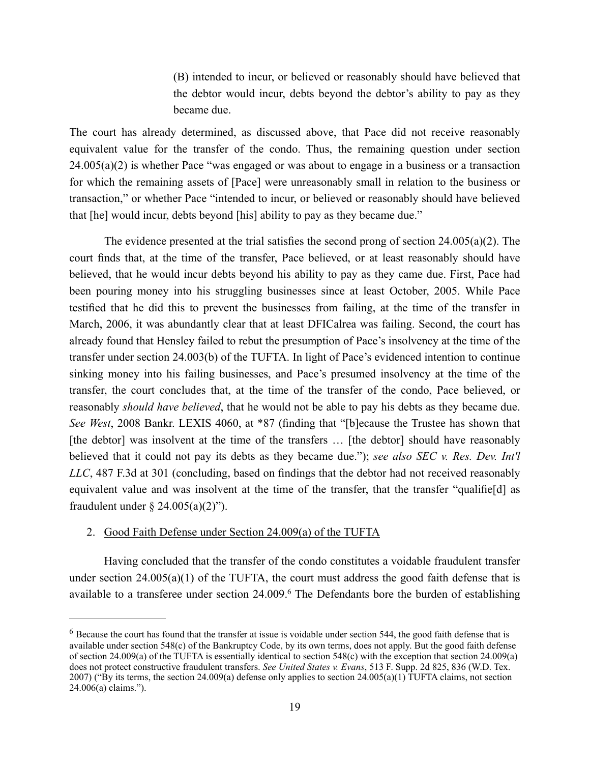(B) intended to incur, or believed or reasonably should have believed that the debtor would incur, debts beyond the debtor's ability to pay as they became due.

The court has already determined, as discussed above, that Pace did not receive reasonably equivalent value for the transfer of the condo. Thus, the remaining question under section  $24.005(a)(2)$  is whether Pace "was engaged or was about to engage in a business or a transaction for which the remaining assets of [Pace] were unreasonably small in relation to the business or transaction," or whether Pace "intended to incur, or believed or reasonably should have believed that [he] would incur, debts beyond [his] ability to pay as they became due."

The evidence presented at the trial satisfies the second prong of section  $24.005(a)(2)$ . The court finds that, at the time of the transfer, Pace believed, or at least reasonably should have believed, that he would incur debts beyond his ability to pay as they came due. First, Pace had been pouring money into his struggling businesses since at least October, 2005. While Pace testified that he did this to prevent the businesses from failing, at the time of the transfer in March, 2006, it was abundantly clear that at least DFICalrea was failing. Second, the court has already found that Hensley failed to rebut the presumption of Pace's insolvency at the time of the transfer under section 24.003(b) of the TUFTA. In light of Pace's evidenced intention to continue sinking money into his failing businesses, and Pace's presumed insolvency at the time of the transfer, the court concludes that, at the time of the transfer of the condo, Pace believed, or reasonably *should have believed*, that he would not be able to pay his debts as they became due. *See West*, 2008 Bankr. LEXIS 4060, at \*87 (finding that "[b]ecause the Trustee has shown that [the debtor] was insolvent at the time of the transfers … [the debtor] should have reasonably believed that it could not pay its debts as they became due."); *see also SEC v. Res. Dev. Int'l LLC*, 487 F.3d at 301 (concluding, based on findings that the debtor had not received reasonably equivalent value and was insolvent at the time of the transfer, that the transfer "qualifie[d] as fraudulent under §  $24.005(a)(2)$ ").

#### 2. Good Faith Defense under Section 24.009(a) of the TUFTA

Having concluded that the transfer of the condo constitutes a voidable fraudulent transfer under section  $24.005(a)(1)$  of the TUFTA, the court must address the good faith defense that is available to a transferee under section 24.009. <sup>6</sup> The Defendants bore the burden of establishing

<sup>6</sup> Because the court has found that the transfer at issue is voidable under section 544, the good faith defense that is available under section 548(c) of the Bankruptcy Code, by its own terms, does not apply. But the good faith defense of section 24.009(a) of the TUFTA is essentially identical to section 548(c) with the exception that section 24.009(a) does not protect constructive fraudulent transfers. *See United States v. Evans*, 513 F. Supp. 2d 825, 836 (W.D. Tex. 2007) ("By its terms, the section 24.009(a) defense only applies to section 24.005(a)(1) TUFTA claims, not section 24.006(a) claims.").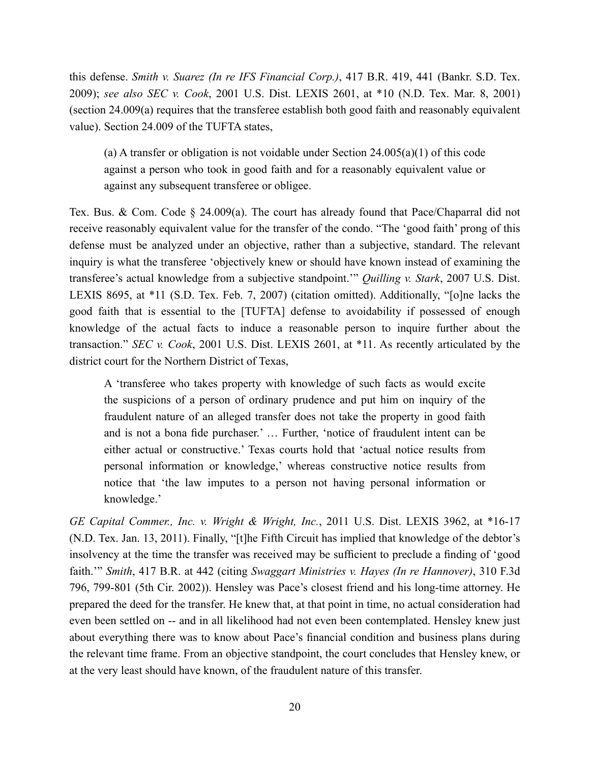this defense. *Smith v. Suarez (In re IFS Financial Corp.)*, 417 B.R. 419, 441 (Bankr. S.D. Tex. 2009); *see also SEC v. Cook*, 2001 U.S. Dist. LEXIS 2601, at \*10 (N.D. Tex. Mar. 8, 2001) (section 24.009(a) requires that the transferee establish both good faith and reasonably equivalent value). Section 24.009 of the TUFTA states,

(a) A transfer or obligation is not voidable under Section  $24.005(a)(1)$  of this code against a person who took in good faith and for a reasonably equivalent value or against any subsequent transferee or obligee.

Tex. Bus. & Com. Code § 24.009(a). The court has already found that Pace/Chaparral did not receive reasonably equivalent value for the transfer of the condo. "The 'good faith' prong of this defense must be analyzed under an objective, rather than a subjective, standard. The relevant inquiry is what the transferee 'objectively knew or should have known instead of examining the transferee's actual knowledge from a subjective standpoint.'" *Quilling v. Stark*, 2007 U.S. Dist. LEXIS 8695, at \*11 (S.D. Tex. Feb. 7, 2007) (citation omitted). Additionally, "[o]ne lacks the good faith that is essential to the [TUFTA] defense to avoidability if possessed of enough knowledge of the actual facts to induce a reasonable person to inquire further about the transaction." *SEC v. Cook*, 2001 U.S. Dist. LEXIS 2601, at \*11. As recently articulated by the district court for the Northern District of Texas,

A 'transferee who takes property with knowledge of such facts as would excite the suspicions of a person of ordinary prudence and put him on inquiry of the fraudulent nature of an alleged transfer does not take the property in good faith and is not a bona fide purchaser.' … Further, 'notice of fraudulent intent can be either actual or constructive.' Texas courts hold that 'actual notice results from personal information or knowledge,' whereas constructive notice results from notice that 'the law imputes to a person not having personal information or knowledge.'

*GE Capital Commer., Inc. v. Wright & Wright, Inc.*, 2011 U.S. Dist. LEXIS 3962, at \*16-17 (N.D. Tex. Jan. 13, 2011). Finally, "[t]he Fifth Circuit has implied that knowledge of the debtor's insolvency at the time the transfer was received may be sufficient to preclude a finding of 'good faith.'" *Smith*, 417 B.R. at 442 (citing *Swaggart Ministries v. Hayes (In re Hannover)*, 310 F.3d 796, 799-801 (5th Cir. 2002)). Hensley was Pace's closest friend and his long-time attorney. He prepared the deed for the transfer. He knew that, at that point in time, no actual consideration had even been settled on -- and in all likelihood had not even been contemplated. Hensley knew just about everything there was to know about Pace's financial condition and business plans during the relevant time frame. From an objective standpoint, the court concludes that Hensley knew, or at the very least should have known, of the fraudulent nature of this transfer.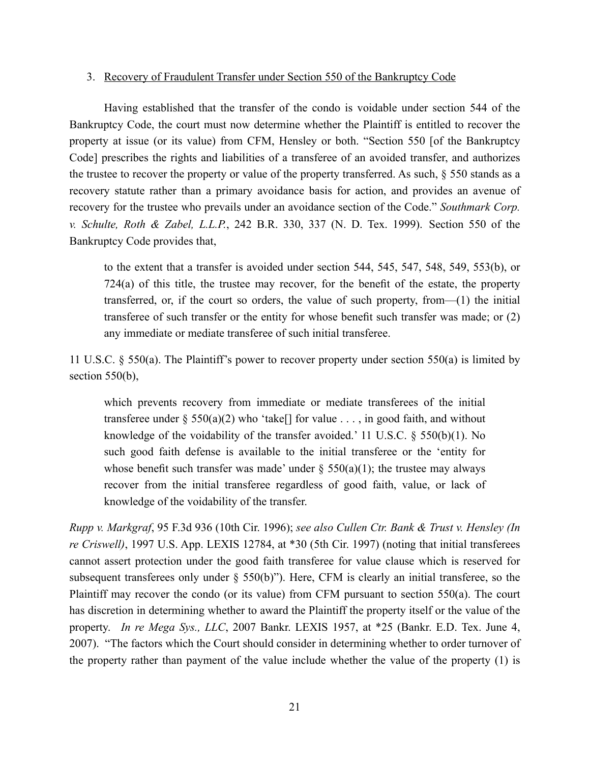### 3. Recovery of Fraudulent Transfer under Section 550 of the Bankruptcy Code

Having established that the transfer of the condo is voidable under section 544 of the Bankruptcy Code, the court must now determine whether the Plaintiff is entitled to recover the property at issue (or its value) from CFM, Hensley or both. "Section 550 [of the Bankruptcy Code] prescribes the rights and liabilities of a transferee of an avoided transfer, and authorizes the trustee to recover the property or value of the property transferred. As such, § 550 stands as a recovery statute rather than a primary avoidance basis for action, and provides an avenue of recovery for the trustee who prevails under an avoidance section of the Code." *Southmark Corp. v. Schulte, Roth & Zabel, L.L.P.*, 242 B.R. 330, 337 (N. D. Tex. 1999). Section 550 of the Bankruptcy Code provides that,

to the extent that a transfer is avoided under section 544, 545, 547, 548, 549, 553(b), or 724(a) of this title, the trustee may recover, for the benefit of the estate, the property transferred, or, if the court so orders, the value of such property, from—(1) the initial transferee of such transfer or the entity for whose benefit such transfer was made; or (2) any immediate or mediate transferee of such initial transferee.

11 U.S.C. § 550(a). The Plaintiff's power to recover property under section 550(a) is limited by section  $550(b)$ ,

which prevents recovery from immediate or mediate transferees of the initial transferee under  $\S 550(a)(2)$  who 'take[] for value ..., in good faith, and without knowledge of the voidability of the transfer avoided.' 11 U.S.C.  $\S$  550(b)(1). No such good faith defense is available to the initial transferee or the 'entity for whose benefit such transfer was made' under  $\S$  550(a)(1); the trustee may always recover from the initial transferee regardless of good faith, value, or lack of knowledge of the voidability of the transfer.

*Rupp v. Markgraf*, 95 F.3d 936 (10th Cir. 1996); *see also Cullen Ctr. Bank & Trust v. Hensley (In re Criswell)*, 1997 U.S. App. LEXIS 12784, at \*30 (5th Cir. 1997) (noting that initial transferees cannot assert protection under the good faith transferee for value clause which is reserved for subsequent transferees only under § 550(b)"). Here, CFM is clearly an initial transferee, so the Plaintiff may recover the condo (or its value) from CFM pursuant to section 550(a). The court has discretion in determining whether to award the Plaintiff the property itself or the value of the property. *In re Mega Sys., LLC*, 2007 Bankr. LEXIS 1957, at \*25 (Bankr. E.D. Tex. June 4, 2007). "The factors which the Court should consider in determining whether to order turnover of the property rather than payment of the value include whether the value of the property (1) is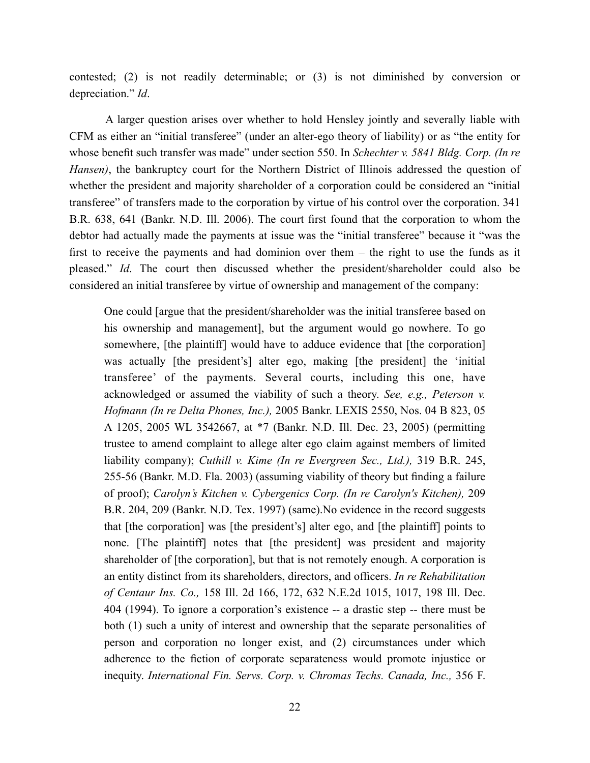contested; (2) is not readily determinable; or (3) is not diminished by conversion or depreciation." *Id*.

A larger question arises over whether to hold Hensley jointly and severally liable with CFM as either an "initial transferee" (under an alter-ego theory of liability) or as "the entity for whose benefit such transfer was made" under section 550. In *Schechter v. 5841 Bldg. Corp. (In re Hansen)*, the bankruptcy court for the Northern District of Illinois addressed the question of whether the president and majority shareholder of a corporation could be considered an "initial transferee" of transfers made to the corporation by virtue of his control over the corporation. 341 B.R. 638, 641 (Bankr. N.D. Ill. 2006). The court first found that the corporation to whom the debtor had actually made the payments at issue was the "initial transferee" because it "was the first to receive the payments and had dominion over them – the right to use the funds as it pleased." *Id*. The court then discussed whether the president/shareholder could also be considered an initial transferee by virtue of ownership and management of the company:

One could [argue that the president/shareholder was the initial transferee based on his ownership and management], but the argument would go nowhere. To go somewhere, [the plaintiff] would have to adduce evidence that [the corporation] was actually [the president's] alter ego, making [the president] the 'initial transferee' of the payments. Several courts, including this one, have acknowledged or assumed the viability of such a theory. *See, e.g., Peterson v. Hofmann (In re Delta Phones, Inc.),* 2005 Bankr. LEXIS 2550, Nos. 04 B 823, 05 A 1205, 2005 WL 3542667, at \*7 (Bankr. N.D. Ill. Dec. 23, 2005) (permitting trustee to amend complaint to allege alter ego claim against members of limited liability company); *Cuthill v. Kime (In re Evergreen Sec., Ltd.),* 319 B.R. 245, 255-56 (Bankr. M.D. Fla. 2003) (assuming viability of theory but finding a failure of proof); *Carolyn's Kitchen v. Cybergenics Corp. (In re Carolyn's Kitchen),* 209 B.R. 204, 209 (Bankr. N.D. Tex. 1997) (same).No evidence in the record suggests that [the corporation] was [the president's] alter ego, and [the plaintiff] points to none. [The plaintiff] notes that [the president] was president and majority shareholder of [the corporation], but that is not remotely enough. A corporation is an entity distinct from its shareholders, directors, and officers. *In re Rehabilitation of Centaur Ins. Co.,* 158 Ill. 2d 166, 172, 632 N.E.2d 1015, 1017, 198 Ill. Dec. 404 (1994). To ignore a corporation's existence -- a drastic step -- there must be both (1) such a unity of interest and ownership that the separate personalities of person and corporation no longer exist, and (2) circumstances under which adherence to the fiction of corporate separateness would promote injustice or inequity. *International Fin. Servs. Corp. v. Chromas Techs. Canada, Inc.,* 356 F.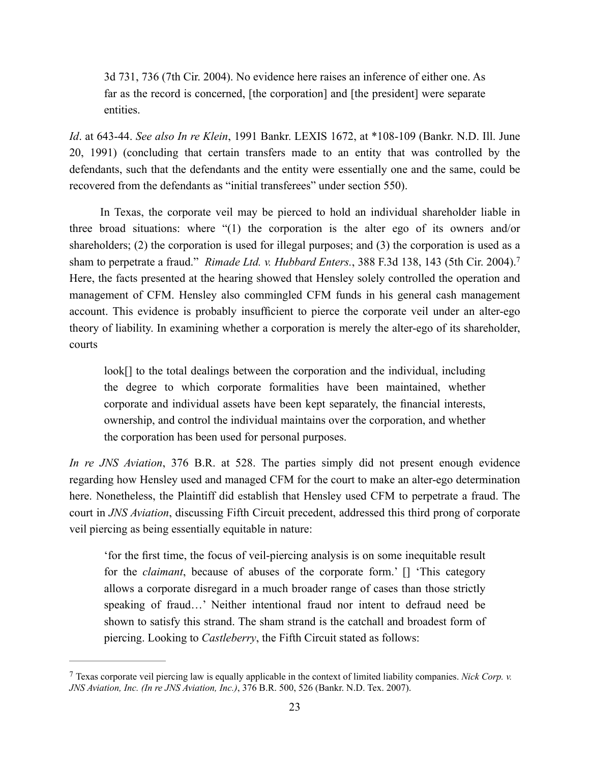3d 731, 736 (7th Cir. 2004). No evidence here raises an inference of either one. As far as the record is concerned, [the corporation] and [the president] were separate entities.

*Id*. at 643-44. *See also In re Klein*, 1991 Bankr. LEXIS 1672, at \*108-109 (Bankr. N.D. Ill. June 20, 1991) (concluding that certain transfers made to an entity that was controlled by the defendants, such that the defendants and the entity were essentially one and the same, could be recovered from the defendants as "initial transferees" under section 550).

In Texas, the corporate veil may be pierced to hold an individual shareholder liable in three broad situations: where "(1) the corporation is the alter ego of its owners and/or shareholders; (2) the corporation is used for illegal purposes; and (3) the corporation is used as a sham to perpetrate a fraud." *Rimade Ltd. v. Hubbard Enters.*, 388 F.3d 138, 143 (5th Cir. 2004). 7 Here, the facts presented at the hearing showed that Hensley solely controlled the operation and management of CFM. Hensley also commingled CFM funds in his general cash management account. This evidence is probably insufficient to pierce the corporate veil under an alter-ego theory of liability. In examining whether a corporation is merely the alter-ego of its shareholder, courts

look[] to the total dealings between the corporation and the individual, including the degree to which corporate formalities have been maintained, whether corporate and individual assets have been kept separately, the financial interests, ownership, and control the individual maintains over the corporation, and whether the corporation has been used for personal purposes.

*In re JNS Aviation*, 376 B.R. at 528. The parties simply did not present enough evidence regarding how Hensley used and managed CFM for the court to make an alter-ego determination here. Nonetheless, the Plaintiff did establish that Hensley used CFM to perpetrate a fraud. The court in *JNS Aviation*, discussing Fifth Circuit precedent, addressed this third prong of corporate veil piercing as being essentially equitable in nature:

'for the first time, the focus of veil-piercing analysis is on some inequitable result for the *claimant*, because of abuses of the corporate form.' [] 'This category allows a corporate disregard in a much broader range of cases than those strictly speaking of fraud…' Neither intentional fraud nor intent to defraud need be shown to satisfy this strand. The sham strand is the catchall and broadest form of piercing. Looking to *Castleberry*, the Fifth Circuit stated as follows:

<sup>7</sup> Texas corporate veil piercing law is equally applicable in the context of limited liability companies. *Nick Corp. v. JNS Aviation, Inc. (In re JNS Aviation, Inc.)*, 376 B.R. 500, 526 (Bankr. N.D. Tex. 2007).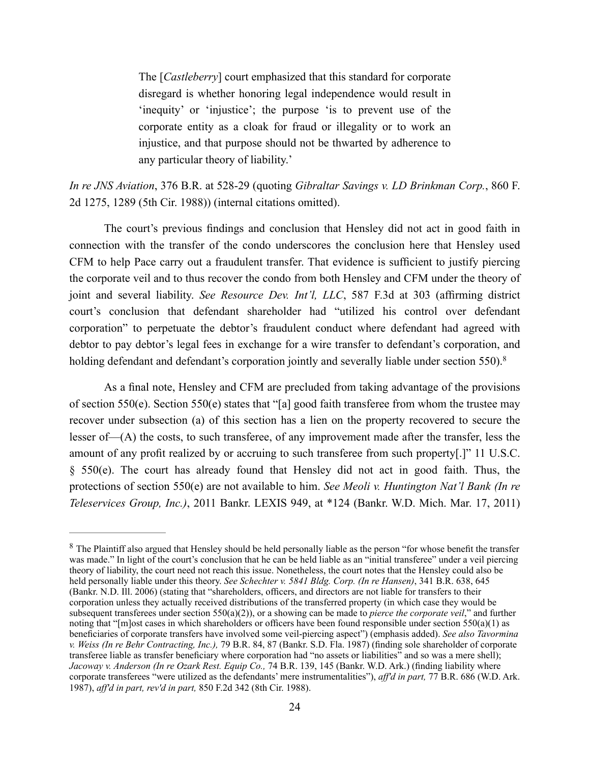The [*Castleberry*] court emphasized that this standard for corporate disregard is whether honoring legal independence would result in 'inequity' or 'injustice'; the purpose 'is to prevent use of the corporate entity as a cloak for fraud or illegality or to work an injustice, and that purpose should not be thwarted by adherence to any particular theory of liability.'

*In re JNS Aviation*, 376 B.R. at 528-29 (quoting *Gibraltar Savings v. LD Brinkman Corp.*, 860 F. 2d 1275, 1289 (5th Cir. 1988)) (internal citations omitted).

The court's previous findings and conclusion that Hensley did not act in good faith in connection with the transfer of the condo underscores the conclusion here that Hensley used CFM to help Pace carry out a fraudulent transfer. That evidence is sufficient to justify piercing the corporate veil and to thus recover the condo from both Hensley and CFM under the theory of joint and several liability. *See Resource Dev. Int'l, LLC*, 587 F.3d at 303 (affirming district court's conclusion that defendant shareholder had "utilized his control over defendant corporation" to perpetuate the debtor's fraudulent conduct where defendant had agreed with debtor to pay debtor's legal fees in exchange for a wire transfer to defendant's corporation, and holding defendant and defendant's corporation jointly and severally liable under section 550).<sup>8</sup>

As a final note, Hensley and CFM are precluded from taking advantage of the provisions of section 550(e). Section 550(e) states that "[a] good faith transferee from whom the trustee may recover under subsection (a) of this section has a lien on the property recovered to secure the lesser of—(A) the costs, to such transferee, of any improvement made after the transfer, less the amount of any profit realized by or accruing to such transferee from such property[.]" 11 U.S.C. § 550(e). The court has already found that Hensley did not act in good faith. Thus, the protections of section 550(e) are not available to him. *See Meoli v. Huntington Nat'l Bank (In re Teleservices Group, Inc.)*, 2011 Bankr. LEXIS 949, at \*124 (Bankr. W.D. Mich. Mar. 17, 2011)

<sup>&</sup>lt;sup>8</sup> The Plaintiff also argued that Hensley should be held personally liable as the person "for whose benefit the transfer was made." In light of the court's conclusion that he can be held liable as an "initial transferee" under a veil piercing theory of liability, the court need not reach this issue. Nonetheless, the court notes that the Hensley could also be held personally liable under this theory. *See Schechter v. 5841 Bldg. Corp. (In re Hansen)*, 341 B.R. 638, 645 (Bankr. N.D. Ill. 2006) (stating that "shareholders, officers, and directors are not liable for transfers to their corporation unless they actually received distributions of the transferred property (in which case they would be subsequent transferees under section 550(a)(2)), or a showing can be made to *pierce the corporate veil*," and further noting that "[m]ost cases in which shareholders or officers have been found responsible under section  $550(a)(1)$  as beneficiaries of corporate transfers have involved some veil-piercing aspect") (emphasis added). *See also Tavormina v. Weiss (In re Behr Contracting, Inc.),* 79 B.R. 84, 87 (Bankr. S.D. Fla. 1987) (finding sole shareholder of corporate transferee liable as transfer beneficiary where corporation had "no assets or liabilities" and so was a mere shell); *Jacoway v. Anderson (In re Ozark Rest. Equip Co.,* 74 B.R. 139, 145 (Bankr. W.D. Ark.) (finding liability where corporate transferees "were utilized as the defendants' mere instrumentalities"), *aff'd in part,* 77 B.R. 686 (W.D. Ark. 1987), *aff'd in part, rev'd in part,* 850 F.2d 342 (8th Cir. 1988).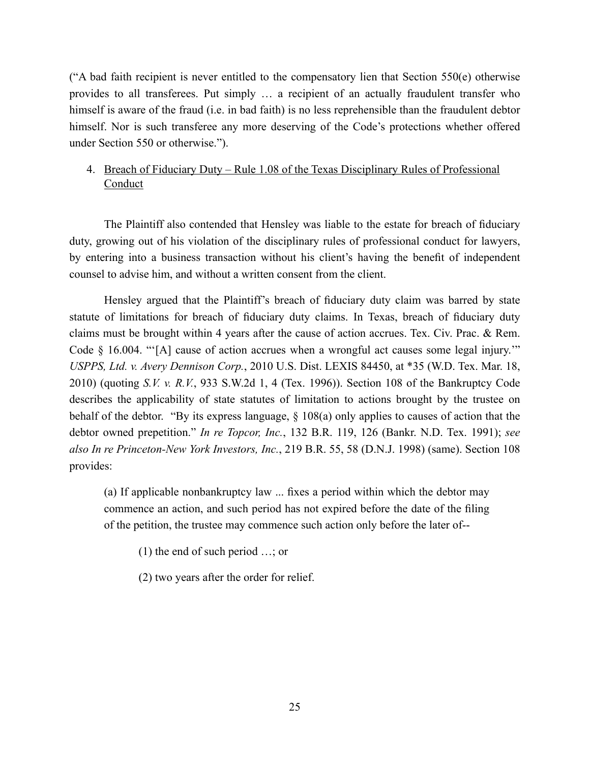("A bad faith recipient is never entitled to the compensatory lien that Section  $550(e)$  otherwise provides to all transferees. Put simply … a recipient of an actually fraudulent transfer who himself is aware of the fraud (i.e. in bad faith) is no less reprehensible than the fraudulent debtor himself. Nor is such transferee any more deserving of the Code's protections whether offered under Section 550 or otherwise.").

# 4. Breach of Fiduciary Duty – Rule 1.08 of the Texas Disciplinary Rules of Professional **Conduct**

The Plaintiff also contended that Hensley was liable to the estate for breach of fiduciary duty, growing out of his violation of the disciplinary rules of professional conduct for lawyers, by entering into a business transaction without his client's having the benefit of independent counsel to advise him, and without a written consent from the client.

Hensley argued that the Plaintiff's breach of fiduciary duty claim was barred by state statute of limitations for breach of fiduciary duty claims. In Texas, breach of fiduciary duty claims must be brought within 4 years after the cause of action accrues. Tex. Civ. Prac. & Rem. Code § 16.004. "[A] cause of action accrues when a wrongful act causes some legal injury." *USPPS, Ltd. v. Avery Dennison Corp.*, 2010 U.S. Dist. LEXIS 84450, at \*35 (W.D. Tex. Mar. 18, 2010) (quoting *S.V. v. R.V.*, 933 S.W.2d 1, 4 (Tex. 1996)). Section 108 of the Bankruptcy Code describes the applicability of state statutes of limitation to actions brought by the trustee on behalf of the debtor. "By its express language, § 108(a) only applies to causes of action that the debtor owned prepetition." *In re Topcor, Inc.*, 132 B.R. 119, 126 (Bankr. N.D. Tex. 1991); *see also In re Princeton-New York Investors, Inc.*, 219 B.R. 55, 58 (D.N.J. 1998) (same). Section 108 provides:

(a) If applicable nonbankruptcy law ... fixes a period within which the debtor may commence an action, and such period has not expired before the date of the filing of the petition, the trustee may commence such action only before the later of--

(1) the end of such period …; or

(2) two years after the order for relief.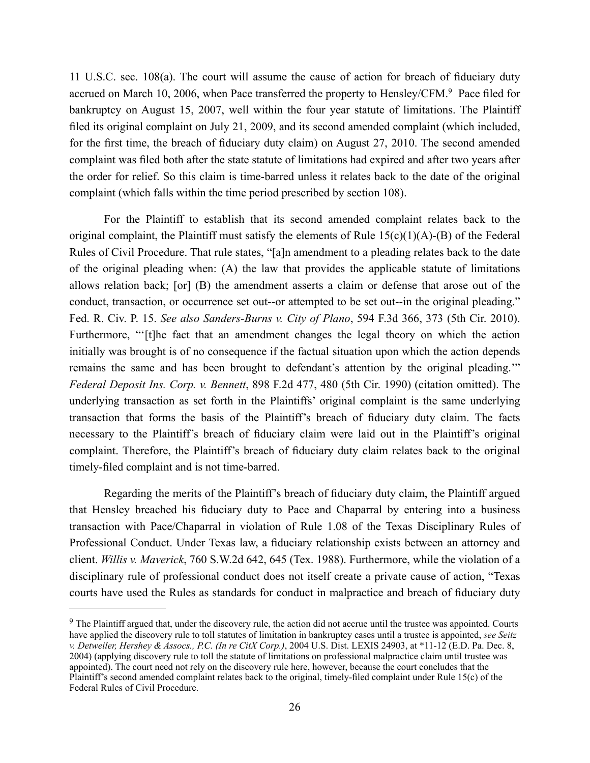11 U.S.C. sec. 108(a). The court will assume the cause of action for breach of fiduciary duty accrued on March 10, 2006, when Pace transferred the property to Hensley/CFM.<sup>9</sup> Pace filed for bankruptcy on August 15, 2007, well within the four year statute of limitations. The Plaintiff filed its original complaint on July 21, 2009, and its second amended complaint (which included, for the first time, the breach of fiduciary duty claim) on August 27, 2010. The second amended complaint was filed both after the state statute of limitations had expired and after two years after the order for relief. So this claim is time-barred unless it relates back to the date of the original complaint (which falls within the time period prescribed by section 108).

For the Plaintiff to establish that its second amended complaint relates back to the original complaint, the Plaintiff must satisfy the elements of Rule  $15(c)(1)(A)-B$  of the Federal Rules of Civil Procedure. That rule states, "[a]n amendment to a pleading relates back to the date of the original pleading when: (A) the law that provides the applicable statute of limitations allows relation back; [or] (B) the amendment asserts a claim or defense that arose out of the conduct, transaction, or occurrence set out--or attempted to be set out--in the original pleading." Fed. R. Civ. P. 15. *See also Sanders-Burns v. City of Plano*, 594 F.3d 366, 373 (5th Cir. 2010). Furthermore, "'[t]he fact that an amendment changes the legal theory on which the action initially was brought is of no consequence if the factual situation upon which the action depends remains the same and has been brought to defendant's attention by the original pleading.'" *Federal Deposit Ins. Corp. v. Bennett*, 898 F.2d 477, 480 (5th Cir. 1990) (citation omitted). The underlying transaction as set forth in the Plaintiffs' original complaint is the same underlying transaction that forms the basis of the Plaintiff's breach of fiduciary duty claim. The facts necessary to the Plaintiff's breach of fiduciary claim were laid out in the Plaintiff's original complaint. Therefore, the Plaintiff's breach of fiduciary duty claim relates back to the original timely-filed complaint and is not time-barred.

Regarding the merits of the Plaintiff's breach of fiduciary duty claim, the Plaintiff argued that Hensley breached his fiduciary duty to Pace and Chaparral by entering into a business transaction with Pace/Chaparral in violation of Rule 1.08 of the Texas Disciplinary Rules of Professional Conduct. Under Texas law, a fiduciary relationship exists between an attorney and client. *Willis v. Maverick*, 760 S.W.2d 642, 645 (Tex. 1988). Furthermore, while the violation of a disciplinary rule of professional conduct does not itself create a private cause of action, "Texas courts have used the Rules as standards for conduct in malpractice and breach of fiduciary duty

<sup>&</sup>lt;sup>9</sup> The Plaintiff argued that, under the discovery rule, the action did not accrue until the trustee was appointed. Courts have applied the discovery rule to toll statutes of limitation in bankruptcy cases until a trustee is appointed, *see Seitz v. Detweiler, Hershey & Assocs., P.C. (In re CitX Corp.)*, 2004 U.S. Dist. LEXIS 24903, at \*11-12 (E.D. Pa. Dec. 8, 2004) (applying discovery rule to toll the statute of limitations on professional malpractice claim until trustee was appointed). The court need not rely on the discovery rule here, however, because the court concludes that the Plaintiff's second amended complaint relates back to the original, timely-filed complaint under Rule 15(c) of the Federal Rules of Civil Procedure.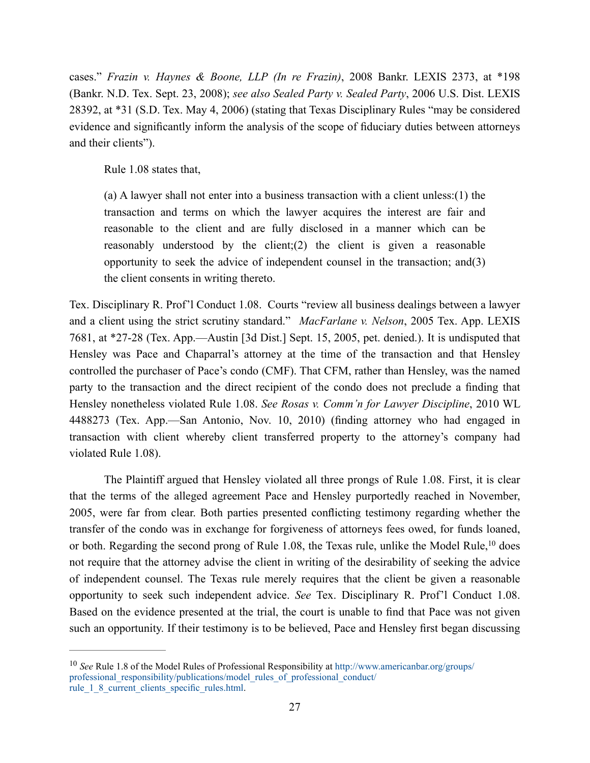cases." *Frazin v. Haynes & Boone, LLP (In re Frazin)*, 2008 Bankr. LEXIS 2373, at \*198 (Bankr. N.D. Tex. Sept. 23, 2008); *see also Sealed Party v. Sealed Party*, 2006 U.S. Dist. LEXIS 28392, at \*31 (S.D. Tex. May 4, 2006) (stating that Texas Disciplinary Rules "may be considered evidence and significantly inform the analysis of the scope of fiduciary duties between attorneys and their clients").

Rule 1.08 states that,

(a) A lawyer shall not enter into a business transaction with a client unless:(1) the transaction and terms on which the lawyer acquires the interest are fair and reasonable to the client and are fully disclosed in a manner which can be reasonably understood by the client;(2) the client is given a reasonable opportunity to seek the advice of independent counsel in the transaction; and(3) the client consents in writing thereto.

Tex. Disciplinary R. Prof'l Conduct 1.08. Courts "review all business dealings between a lawyer and a client using the strict scrutiny standard." *MacFarlane v. Nelson*, 2005 Tex. App. LEXIS 7681, at \*27-28 (Tex. App.—Austin [3d Dist.] Sept. 15, 2005, pet. denied.). It is undisputed that Hensley was Pace and Chaparral's attorney at the time of the transaction and that Hensley controlled the purchaser of Pace's condo (CMF). That CFM, rather than Hensley, was the named party to the transaction and the direct recipient of the condo does not preclude a finding that Hensley nonetheless violated Rule 1.08. *See Rosas v. Comm'n for Lawyer Discipline*, 2010 WL 4488273 (Tex. App.—San Antonio, Nov. 10, 2010) (finding attorney who had engaged in transaction with client whereby client transferred property to the attorney's company had violated Rule 1.08).

The Plaintiff argued that Hensley violated all three prongs of Rule 1.08. First, it is clear that the terms of the alleged agreement Pace and Hensley purportedly reached in November, 2005, were far from clear. Both parties presented conflicting testimony regarding whether the transfer of the condo was in exchange for forgiveness of attorneys fees owed, for funds loaned, or both. Regarding the second prong of Rule 1.08, the Texas rule, unlike the Model Rule, <sup>10</sup> does not require that the attorney advise the client in writing of the desirability of seeking the advice of independent counsel. The Texas rule merely requires that the client be given a reasonable opportunity to seek such independent advice. *See* Tex. Disciplinary R. Prof'l Conduct 1.08. Based on the evidence presented at the trial, the court is unable to find that Pace was not given such an opportunity. If their testimony is to be believed, Pace and Hensley first began discussing

<sup>10</sup> *See* Rule 1.8 of the Model Rules of Professional Responsibility at http://www.americanbar.org/groups/ professional\_responsibility/publications/model\_rules\_of\_professional\_conduct/ rule\_1\_8\_current\_clients\_specific\_rules.html.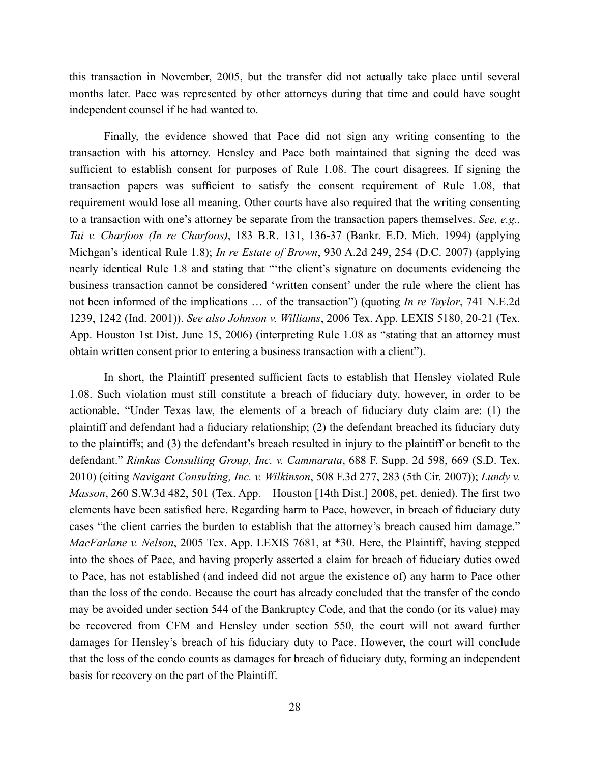this transaction in November, 2005, but the transfer did not actually take place until several months later. Pace was represented by other attorneys during that time and could have sought independent counsel if he had wanted to.

Finally, the evidence showed that Pace did not sign any writing consenting to the transaction with his attorney. Hensley and Pace both maintained that signing the deed was sufficient to establish consent for purposes of Rule 1.08. The court disagrees. If signing the transaction papers was sufficient to satisfy the consent requirement of Rule 1.08, that requirement would lose all meaning. Other courts have also required that the writing consenting to a transaction with one's attorney be separate from the transaction papers themselves. *See, e.g., Tai v. Charfoos (In re Charfoos)*, 183 B.R. 131, 136-37 (Bankr. E.D. Mich. 1994) (applying Michgan's identical Rule 1.8); *In re Estate of Brown*, 930 A.2d 249, 254 (D.C. 2007) (applying nearly identical Rule 1.8 and stating that "'the client's signature on documents evidencing the business transaction cannot be considered 'written consent' under the rule where the client has not been informed of the implications … of the transaction") (quoting *In re Taylor*, 741 N.E.2d 1239, 1242 (Ind. 2001)). *See also Johnson v. Williams*, 2006 Tex. App. LEXIS 5180, 20-21 (Tex. App. Houston 1st Dist. June 15, 2006) (interpreting Rule 1.08 as "stating that an attorney must obtain written consent prior to entering a business transaction with a client").

In short, the Plaintiff presented sufficient facts to establish that Hensley violated Rule 1.08. Such violation must still constitute a breach of fiduciary duty, however, in order to be actionable. "Under Texas law, the elements of a breach of fiduciary duty claim are: (1) the plaintiff and defendant had a fiduciary relationship; (2) the defendant breached its fiduciary duty to the plaintiffs; and (3) the defendant's breach resulted in injury to the plaintiff or benefit to the defendant." *Rimkus Consulting Group, Inc. v. Cammarata*, 688 F. Supp. 2d 598, 669 (S.D. Tex. 2010) (citing *Navigant Consulting, Inc. v. Wilkinson*, 508 F.3d 277, 283 (5th Cir. 2007)); *Lundy v. Masson*, 260 S.W.3d 482, 501 (Tex. App.—Houston [14th Dist.] 2008, pet. denied). The first two elements have been satisfied here. Regarding harm to Pace, however, in breach of fiduciary duty cases "the client carries the burden to establish that the attorney's breach caused him damage." *MacFarlane v. Nelson*, 2005 Tex. App. LEXIS 7681, at \*30. Here, the Plaintiff, having stepped into the shoes of Pace, and having properly asserted a claim for breach of fiduciary duties owed to Pace, has not established (and indeed did not argue the existence of) any harm to Pace other than the loss of the condo. Because the court has already concluded that the transfer of the condo may be avoided under section 544 of the Bankruptcy Code, and that the condo (or its value) may be recovered from CFM and Hensley under section 550, the court will not award further damages for Hensley's breach of his fiduciary duty to Pace. However, the court will conclude that the loss of the condo counts as damages for breach of fiduciary duty, forming an independent basis for recovery on the part of the Plaintiff.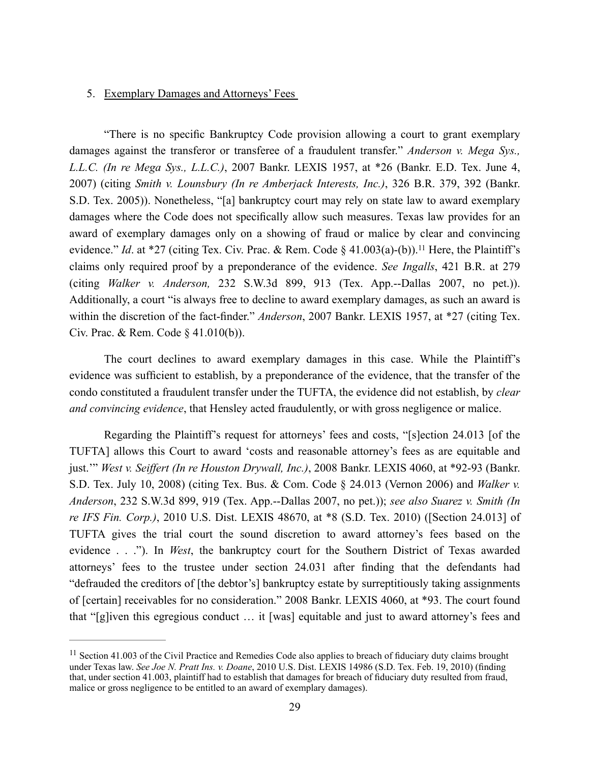#### 5. Exemplary Damages and Attorneys' Fees

"There is no specific Bankruptcy Code provision allowing a court to grant exemplary damages against the transferor or transferee of a fraudulent transfer." *Anderson v. Mega Sys., L.L.C. (In re Mega Sys., L.L.C.)*, 2007 Bankr. LEXIS 1957, at \*26 (Bankr. E.D. Tex. June 4, 2007) (citing *Smith v. Lounsbury (In re Amberjack Interests, Inc.)*, 326 B.R. 379, 392 (Bankr. S.D. Tex. 2005)). Nonetheless, "[a] bankruptcy court may rely on state law to award exemplary damages where the Code does not specifically allow such measures. Texas law provides for an award of exemplary damages only on a showing of fraud or malice by clear and convincing evidence." *Id.* at \*27 (citing Tex. Civ. Prac. & Rem. Code § 41.003(a)-(b)).<sup>11</sup> Here, the Plaintiff's claims only required proof by a preponderance of the evidence. *See Ingalls*, 421 B.R. at 279 (citing *Walker v. Anderson,* 232 S.W.3d 899, 913 (Tex. App.--Dallas 2007, no pet.)). Additionally, a court "is always free to decline to award exemplary damages, as such an award is within the discretion of the fact-finder." *Anderson*, 2007 Bankr. LEXIS 1957, at \*27 (citing Tex. Civ. Prac. & Rem. Code § 41.010(b)).

The court declines to award exemplary damages in this case. While the Plaintiff's evidence was sufficient to establish, by a preponderance of the evidence, that the transfer of the condo constituted a fraudulent transfer under the TUFTA, the evidence did not establish, by *clear and convincing evidence*, that Hensley acted fraudulently, or with gross negligence or malice.

Regarding the Plaintiff's request for attorneys' fees and costs, "[s]ection 24.013 [of the TUFTA] allows this Court to award 'costs and reasonable attorney's fees as are equitable and just.'" *West v. Seiffert (In re Houston Drywall, Inc.)*, 2008 Bankr. LEXIS 4060, at \*92-93 (Bankr. S.D. Tex. July 10, 2008) (citing Tex. Bus. & Com. Code § 24.013 (Vernon 2006) and *Walker v. Anderson*, 232 S.W.3d 899, 919 (Tex. App.--Dallas 2007, no pet.)); *see also Suarez v. Smith (In re IFS Fin. Corp.)*, 2010 U.S. Dist. LEXIS 48670, at \*8 (S.D. Tex. 2010) ([Section 24.013] of TUFTA gives the trial court the sound discretion to award attorney's fees based on the evidence . . ."). In *West*, the bankruptcy court for the Southern District of Texas awarded attorneys' fees to the trustee under section 24.031 after finding that the defendants had "defrauded the creditors of [the debtor's] bankruptcy estate by surreptitiously taking assignments of [certain] receivables for no consideration." 2008 Bankr. LEXIS 4060, at \*93. The court found that "[g]iven this egregious conduct … it [was] equitable and just to award attorney's fees and

<sup>&</sup>lt;sup>11</sup> Section 41.003 of the Civil Practice and Remedies Code also applies to breach of fiduciary duty claims brought under Texas law. *See Joe N. Pratt Ins. v. Doane*, 2010 U.S. Dist. LEXIS 14986 (S.D. Tex. Feb. 19, 2010) (finding that, under section 41.003, plaintiff had to establish that damages for breach of fiduciary duty resulted from fraud, malice or gross negligence to be entitled to an award of exemplary damages).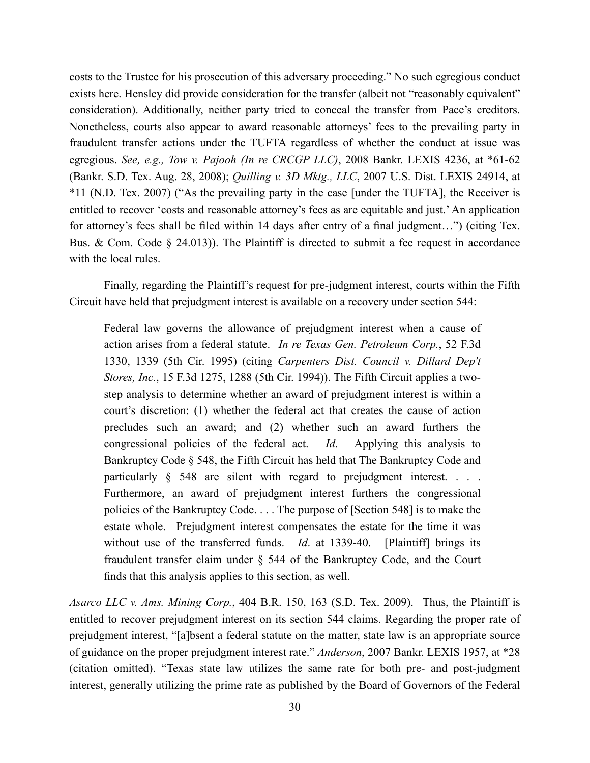costs to the Trustee for his prosecution of this adversary proceeding." No such egregious conduct exists here. Hensley did provide consideration for the transfer (albeit not "reasonably equivalent" consideration). Additionally, neither party tried to conceal the transfer from Pace's creditors. Nonetheless, courts also appear to award reasonable attorneys' fees to the prevailing party in fraudulent transfer actions under the TUFTA regardless of whether the conduct at issue was egregious. *See, e.g., Tow v. Pajooh (In re CRCGP LLC)*, 2008 Bankr. LEXIS 4236, at \*61-62 (Bankr. S.D. Tex. Aug. 28, 2008); *Quilling v. 3D Mktg., LLC*, 2007 U.S. Dist. LEXIS 24914, at \*11 (N.D. Tex. 2007) ("As the prevailing party in the case [under the TUFTA], the Receiver is entitled to recover 'costs and reasonable attorney's fees as are equitable and just.' An application for attorney's fees shall be filed within 14 days after entry of a final judgment…") (citing Tex. Bus. & Com. Code  $\S$  24.013)). The Plaintiff is directed to submit a fee request in accordance with the local rules.

Finally, regarding the Plaintiff's request for pre-judgment interest, courts within the Fifth Circuit have held that prejudgment interest is available on a recovery under section 544:

Federal law governs the allowance of prejudgment interest when a cause of action arises from a federal statute. *In re Texas Gen. Petroleum Corp.*, 52 F.3d 1330, 1339 (5th Cir. 1995) (citing *Carpenters Dist. Council v. Dillard Dep't Stores, Inc.*, 15 F.3d 1275, 1288 (5th Cir. 1994)). The Fifth Circuit applies a twostep analysis to determine whether an award of prejudgment interest is within a court's discretion: (1) whether the federal act that creates the cause of action precludes such an award; and (2) whether such an award furthers the congressional policies of the federal act. *Id*. Applying this analysis to Bankruptcy Code § 548, the Fifth Circuit has held that The Bankruptcy Code and particularly § 548 are silent with regard to prejudgment interest. . . . Furthermore, an award of prejudgment interest furthers the congressional policies of the Bankruptcy Code. . . . The purpose of [Section 548] is to make the estate whole. Prejudgment interest compensates the estate for the time it was without use of the transferred funds. *Id*. at 1339-40. [Plaintiff] brings its fraudulent transfer claim under § 544 of the Bankruptcy Code, and the Court finds that this analysis applies to this section, as well.

*Asarco LLC v. Ams. Mining Corp.*, 404 B.R. 150, 163 (S.D. Tex. 2009). Thus, the Plaintiff is entitled to recover prejudgment interest on its section 544 claims. Regarding the proper rate of prejudgment interest, "[a]bsent a federal statute on the matter, state law is an appropriate source of guidance on the proper prejudgment interest rate." *Anderson*, 2007 Bankr. LEXIS 1957, at \*28 (citation omitted). "Texas state law utilizes the same rate for both pre- and post-judgment interest, generally utilizing the prime rate as published by the Board of Governors of the Federal